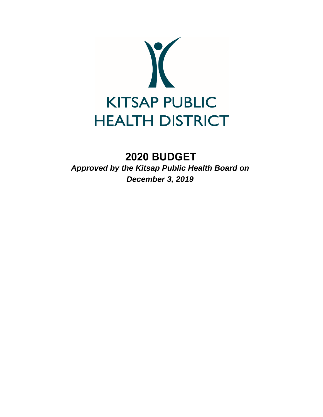

# **2020 BUDGET**

*Approved by the Kitsap Public Health Board on December 3, 2019*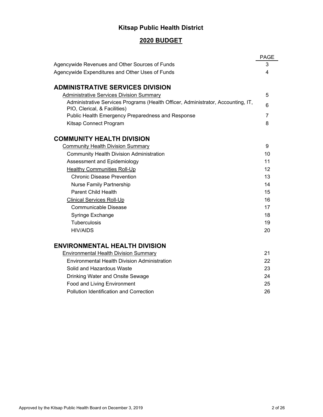## **Kitsap Public Health District**

### **2020 BUDGET**

|                                                                                                                  | <b>PAGE</b>    |
|------------------------------------------------------------------------------------------------------------------|----------------|
| Agencywide Revenues and Other Sources of Funds                                                                   | 3              |
| Agencywide Expenditures and Other Uses of Funds                                                                  | 4              |
|                                                                                                                  |                |
| <b>ADMINISTRATIVE SERVICES DIVISION</b>                                                                          |                |
| <b>Administrative Services Division Summary</b>                                                                  | 5              |
| Administrative Services Programs (Health Officer, Administrator, Accounting, IT,<br>PIO, Clerical, & Facilities) | 6              |
| Public Health Emergency Preparedness and Response                                                                | $\overline{7}$ |
| Kitsap Connect Program                                                                                           | 8              |
|                                                                                                                  |                |
| <b>COMMUNITY HEALTH DIVISION</b>                                                                                 |                |
| <b>Community Health Division Summary</b>                                                                         | 9              |
| <b>Community Health Division Administration</b>                                                                  | 10             |
| Assessment and Epidemiology                                                                                      | 11             |
| <b>Healthy Communities Roll-Up</b>                                                                               | 12             |
| <b>Chronic Disease Prevention</b>                                                                                | 13             |
| <b>Nurse Family Partnership</b>                                                                                  | 14             |
| <b>Parent Child Health</b>                                                                                       | 15             |
| <b>Clinical Services Roll-Up</b>                                                                                 | 16             |
| <b>Communicable Disease</b>                                                                                      | 17             |
| Syringe Exchange                                                                                                 | 18             |
| <b>Tuberculosis</b>                                                                                              | 19             |
| <b>HIV/AIDS</b>                                                                                                  | 20             |
| <b>ENVIRONMENTAL HEALTH DIVISION</b>                                                                             |                |
| <b>Environmental Health Division Summary</b>                                                                     | 21             |
| Environmental Health Division Administration                                                                     | 22             |
| Solid and Hazardous Waste                                                                                        | 23             |
| Drinking Water and Onsite Sewage                                                                                 | 24             |
| Food and Living Environment                                                                                      | 25             |
| Pollution Identification and Correction                                                                          | 26             |
|                                                                                                                  |                |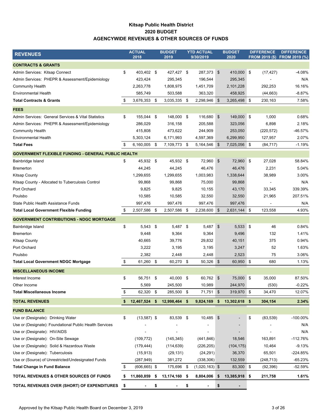### **Kitsap Public Health District 2020 BUDGET AGENCYWIDE REVENUES & OTHER SOURCES OF FUNDS**

| <b>REVENUES</b>                                            | <b>ACTUAL</b>         |      | <b>BUDGET</b>  |      | <b>YTD ACTUAL</b> |            | <b>BUDGET</b>            | <b>DIFFERENCE</b> | <b>DIFFERENCE</b>            |
|------------------------------------------------------------|-----------------------|------|----------------|------|-------------------|------------|--------------------------|-------------------|------------------------------|
|                                                            | 2018                  |      | 2019           |      | 9/30/2019         |            | 2020                     |                   | FROM 2019 (\$) FROM 2019 (%) |
| <b>CONTRACTS &amp; GRANTS</b>                              |                       |      |                |      |                   |            |                          |                   |                              |
| Admin Services: Kitsap Connect                             | \$<br>403,402 \$      |      | 427,427 \$     |      | 287,373 \$        |            | 410,000 \$               | (17, 427)         | $-4.08%$                     |
| Admin Services: PHEPR & Assessment/Epidemiology            | 423,424               |      | 295,345        |      | 196,544           |            | 295,345                  |                   | N/A                          |
| <b>Community Health</b>                                    | 2,263,778             |      | 1,808,975      |      | 1,451,709         |            | 2,101,228                | 292,253           | 16.16%                       |
| <b>Environmental Health</b>                                | 585,749               |      | 503,588        |      | 363,320           |            | 458,925                  | (44, 663)         | $-8.87%$                     |
| <b>Total Contracts &amp; Grants</b>                        | \$<br>3,676,353 \$    |      | 3,035,335      | - \$ | 2,298,946         | \$         | 3,265,498 \$             | 230,163           | 7.58%                        |
| <b>FEES</b>                                                |                       |      |                |      |                   |            |                          |                   |                              |
| Admin Services: General Services & Vital Statistics        | \$<br>155,044 \$      |      | 148,000 \$     |      | 116,680 \$        |            | 149,000 \$               | 1,000             | 0.68%                        |
| Admin Services: PHEPR & Assessment/Epidemiology            | 286,029               |      | 316,158        |      | 205,588           |            | 323,056                  | 6,898             | 2.18%                        |
| <b>Community Health</b>                                    | 415,808               |      | 473,622        |      | 244,909           |            | 253,050                  | (220, 572)        | -46.57%                      |
| <b>Environmental Health</b>                                | 5,303,124             |      | 6,171,993      |      | 4,597,369         |            | 6,299,950                | 127,957           | 2.07%                        |
| <b>Total Fees</b>                                          | \$<br>$6,160,005$ \$  |      | 7,109,773 \$   |      | 5,164,546         | $\sqrt{3}$ | 7,025,056 \$             | (84, 717)         | $-1.19%$                     |
| <b>GOVERNMENT FLEXIBLE FUNDING - GENERAL PUBLIC HEALTH</b> |                       |      |                |      |                   |            |                          |                   |                              |
| Bainbridge Island                                          | \$<br>45,932 \$       |      | 45,932 \$      |      | 72,960            | \$         | 72,960 \$                | 27,028            | 58.84%                       |
| Bremerton                                                  | 44,245                |      | 44,245         |      | 46,476            |            | 46,476                   | 2,231             | 5.04%                        |
| <b>Kitsap County</b>                                       | 1,299,655             |      | 1,299,655      |      | 1,003,983         |            | 1,338,644                | 38,989            | 3.00%                        |
| Kitsap County - Allocated to Tuberculosis Control          | 99,868                |      | 99,868         |      | 75,000            |            | 99,868                   |                   | N/A                          |
| Port Orchard                                               | 9,825                 |      | 9,825          |      | 10,155            |            | 43,170                   | 33,345            | 339.39%                      |
| Poulsbo                                                    | 10,585                |      | 10,585         |      | 32,550            |            | 32,550                   | 21,965            | 207.51%                      |
| State Public Health Assistance Funds                       | 997,476               |      | 997,476        |      | 997,476           |            | 997,476                  |                   | N/A                          |
| <b>Total Local Government Flexible Funding</b>             | \$<br>2,507,586       | - \$ | 2,507,586      | -\$  | 2,238,600         | \$         | 2,631,144 \$             | 123,558           | 4.93%                        |
| <b>GOVERNMENT CONTRIBUTIONS - NDGC MORTGAGE</b>            |                       |      |                |      |                   |            |                          |                   |                              |
| Bainbridge Island                                          | \$<br>$5,543$ \$      |      | 5,487 \$       |      | 5,487             | \$         | $5,533$ \$               | 46                | 0.84%                        |
| <b>Bremerton</b>                                           | 9,448                 |      | 9,364          |      | 9,364             |            | 9,496                    | 132               | 1.41%                        |
| Kitsap County                                              | 40,665                |      | 39,776         |      | 29,832            |            | 40,151                   | 375               | 0.94%                        |
| Port Orchard                                               | 3,222                 |      | 3,195          |      | 3,195             |            | 3,247                    | 52                | 1.63%                        |
| Poulsbo                                                    | 2,382                 |      | 2,448          |      | 2,448             |            | 2,523                    | 75                | 3.06%                        |
| <b>Total Local Government NDGC Mortgage</b>                | \$<br>61,260 \$       |      | 60,270 \$      |      | 50,326 \$         |            | 60,950 \$                | 680               | 1.13%                        |
| <b>MISCELLANEOUS INCOME</b>                                |                       |      |                |      |                   |            |                          |                   |                              |
| Interest Income                                            | \$<br>56,751 \$       |      | 40,000 \$      |      | 60,762 \$         |            | 75,000 \$                | 35,000            | 87.50%                       |
| Other Income                                               | 5,569                 |      | 245,500        |      | 10,989            |            | 244,970                  | (530)             | $-0.22%$                     |
| <b>Total Miscellaneous Income</b>                          | \$<br>62,320 \$       |      | 285,500 \$     |      | 71,751            | \$         | 319,970 \$               | 34,470            | 12.07%                       |
| <b>TOTAL REVENUES</b>                                      | \$<br>12,467,524      | - \$ | 12,998,464 \$  |      | $9,824,169$ \$    |            | 13,302,618 \$            | 304,154           | 2.34%                        |
| <b>FUND BALANCE</b>                                        |                       |      |                |      |                   |            |                          |                   |                              |
| Use or (Designate): Drinking Water                         | \$<br>$(13,587)$ \$   |      | 83,539 \$      |      | 10,485            | \$         |                          | \$<br>(83, 539)   | -100.00%                     |
| Use or (Designate): Foundational Public Health Services    |                       |      |                |      |                   |            |                          |                   | N/A                          |
| Use or (Designate): HIV/AIDS                               |                       |      | $\blacksquare$ |      |                   |            | $\overline{\phantom{a}}$ |                   | N/A                          |
| Use or (Designate): On-Site Sewage                         | (109, 772)            |      | (145, 345)     |      | (441, 846)        |            | 18,546                   | 163,891           | $-112.76%$                   |
| Use or (Designate): Solid & Hazardous Waste                | (179, 444)            |      | (114, 639)     |      | (226, 205)        |            | (104, 175)               | 10,464            | $-9.13%$                     |
| Use or (Designate): Tuberculosis                           | (15, 913)             |      | (29, 131)      |      | (24, 291)         |            | 36,370                   | 65,501            | -224.85%                     |
| Use or (Source) of Unrestricted/Undesignated Funds         | (287,949)             |      | 381,272        |      | (338, 306)        |            | 132,559                  | (248, 713)        | -65.23%                      |
| <b>Total Change in Fund Balance</b>                        | \$<br>$(606, 665)$ \$ |      | 175,696 \$     |      | $(1,020,163)$ \$  |            | 83,300 \$                | (92, 396)         | -52.59%                      |
|                                                            |                       |      |                |      |                   |            |                          |                   |                              |
| TOTAL REVENUES & OTHER SOURCES OF FUNDS                    | \$<br>11,860,859      | - \$ | 13,174,160 \$  |      | 8,804,006         | \$         | 13,385,918 \$            | 211,758           | 1.61%                        |
| TOTAL REVENUES OVER (SHORT) OF EXPENDITURES                | \$                    | \$   |                | \$   | $\blacksquare$    | \$         |                          |                   |                              |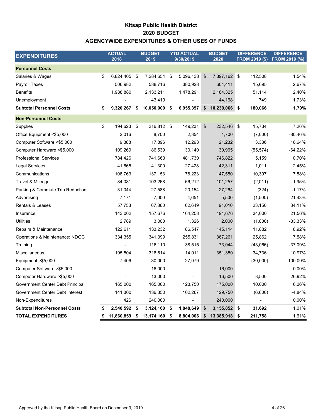### **Kitsap Public Health District AGENCYWIDE EXPENDITURES & OTHER USES OF FUNDS 2020 BUDGET**

| <b>EXPENDITURES</b>                 | <b>ACTUAL</b><br>2018 | <b>BUDGET</b><br>2019 |      | <b>YTD ACTUAL</b><br>9/30/2019 |     | <b>BUDGET</b><br>2020 |     | <b>DIFFERENCE</b><br><b>FROM 2019 (\$)</b> | <b>DIFFERENCE</b><br><b>FROM 2019 (%)</b> |
|-------------------------------------|-----------------------|-----------------------|------|--------------------------------|-----|-----------------------|-----|--------------------------------------------|-------------------------------------------|
| <b>Personnel Costs</b>              |                       |                       |      |                                |     |                       |     |                                            |                                           |
| Salaries & Wages                    | \$<br>6,824,405       | \$<br>7,284,654       | - \$ | 5,096,138                      | \$  | 7,397,162 \$          |     | 112,508                                    | 1.54%                                     |
| Payroll Taxes                       | 506,982               | 588,716               |      | 380,928                        |     | 604,411               |     | 15,695                                     | 2.67%                                     |
| <b>Benefits</b>                     | 1,988,880             | 2,133,211             |      | 1,478,291                      |     | 2,184,325             |     | 51,114                                     | 2.40%                                     |
| Unemployment                        |                       | 43,419                |      |                                |     | 44,168                |     | 749                                        | 1.73%                                     |
| <b>Subtotal Personnel Costs</b>     | \$<br>9,320,267       | \$<br>10,050,000 \$   |      | 6,955,357                      | \$  | 10,230,066            | \$  | 180,066                                    | 1.79%                                     |
| <b>Non-Personnel Costs</b>          |                       |                       |      |                                |     |                       |     |                                            |                                           |
| Supplies                            | \$<br>194,623         | \$<br>216,812 \$      |      | 149,231                        | \$  | 232,546               | -\$ | 15,734                                     | 7.26%                                     |
| Office Equipment <\$5,000           | 2,016                 | 8,700                 |      | 2,354                          |     | 1,700                 |     | (7,000)                                    | -80.46%                                   |
| Computer Software <\$5,000          | 9,388                 | 17,896                |      | 12,293                         |     | 21,232                |     | 3,336                                      | 18.64%                                    |
| Computer Hardware <\$5,000          | 109,269               | 86,539                |      | 30,140                         |     | 30,965                |     | (55, 574)                                  | $-64.22%$                                 |
| <b>Professional Services</b>        | 784,426               | 741,663               |      | 481,730                        |     | 746,822               |     | 5,159                                      | 0.70%                                     |
| Legal Services                      | 41,665                | 41,300                |      | 27,428                         |     | 42,311                |     | 1,011                                      | 2.45%                                     |
| Communications                      | 106,763               | 137,153               |      | 78,223                         |     | 147,550               |     | 10,397                                     | 7.58%                                     |
| Travel & Mileage                    | 84,081                | 103,268               |      | 66,212                         |     | 101,257               |     | (2,011)                                    | $-1.95%$                                  |
| Parking & Commute Trip Reduction    | 31,044                | 27,588                |      | 20,154                         |     | 27,264                |     | (324)                                      | $-1.17%$                                  |
| Advertising                         | 7,171                 | 7,000                 |      | 4,651                          |     | 5,500                 |     | (1,500)                                    | $-21.43%$                                 |
| <b>Rentals &amp; Leases</b>         | 57,753                | 67,860                |      | 62,649                         |     | 91,010                |     | 23,150                                     | 34.11%                                    |
| Insurance                           | 143,002               | 157,676               |      | 164,258                        |     | 191,676               |     | 34,000                                     | 21.56%                                    |
| <b>Utilities</b>                    | 2.789                 | 3,000                 |      | 1,326                          |     | 2,000                 |     | (1,000)                                    | -33.33%                                   |
| Repairs & Maintenance               | 122,611               | 133,232               |      | 86,547                         |     | 145,114               |     | 11,882                                     | 8.92%                                     |
| Operations & Maintenance: NDGC      | 334,355               | 341,399               |      | 255,831                        |     | 367,261               |     | 25,862                                     | 7.58%                                     |
| Training                            |                       | 116,110               |      | 38,515                         |     | 73,044                |     | (43,066)                                   | -37.09%                                   |
| Miscellaneous                       | 195,504               | 316,614               |      | 114,011                        |     | 351,350               |     | 34,736                                     | 10.97%                                    |
| Equipment >\$5,000                  | 7,406                 | 30,000                |      | 27,079                         |     |                       |     | (30,000)                                   | $-100.00\%$                               |
| Computer Software > \$5,000         |                       | 16,000                |      |                                |     | 16,000                |     |                                            | 0.00%                                     |
| Computer Hardware > \$5,000         |                       | 13,000                |      |                                |     | 16,500                |     | 3,500                                      | 26.92%                                    |
| Government Center Debt Principal    | 165,000               | 165,000               |      | 123,750                        |     | 175,000               |     | 10,000                                     | 6.06%                                     |
| Government Center Debt Interest     | 141,300               | 136,350               |      | 102,267                        |     | 129,750               |     | (6,600)                                    | $-4.84%$                                  |
| Non-Expenditures                    | 426                   | 240,000               |      |                                |     | 240,000               |     |                                            | 0.00%                                     |
| <b>Subtotal Non-Personnel Costs</b> | \$<br>2,540,592       | \$<br>3,124,160       | \$   | 1,848,649                      | -\$ | 3,155,852             | \$  | 31,692                                     | 1.01%                                     |
| <b>TOTAL EXPENDITURES</b>           | \$<br>11,860,859      | \$<br>13,174,160      | \$   | 8,804,006                      | \$  | 13,385,918            | -\$ | 211,758                                    | 1.61%                                     |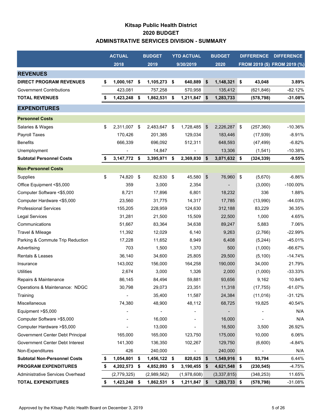### **Kitsap Public Health District 2020 BUDGET ADMINSTRATIVE SERVICES DIVISION - SUMMARY**

|                                     | <b>ACTUAL</b>        | <b>BUDGET</b> |              | <b>YTD ACTUAL</b> |             |    | <b>BUDGET</b> | <b>DIFFERENCE</b>          |            | <b>DIFFERENCE</b>            |
|-------------------------------------|----------------------|---------------|--------------|-------------------|-------------|----|---------------|----------------------------|------------|------------------------------|
|                                     | 2018                 |               | 2019         |                   | 9/30/2019   |    | 2020          |                            |            | FROM 2019 (\$) FROM 2019 (%) |
| <b>REVENUES</b>                     |                      |               |              |                   |             |    |               |                            |            |                              |
| <b>DIRECT PROGRAM REVENUES</b>      | \$<br>1,000,167      | -\$           | 1,105,273    | \$                | 640,889     | \$ | 1,148,321     | \$                         | 43,048     | 3.89%                        |
| <b>Government Contributions</b>     | 423,081              |               | 757,258      |                   | 570,958     |    | 135,412       |                            | (621, 846) | $-82.12%$                    |
| <b>TOTAL REVENUES</b>               | \$<br>1,423,248      | -\$           | 1,862,531    | \$                | 1,211,847   | \$ | 1,283,733     |                            | (578, 798) | $-31.08%$                    |
| <b>EXPENDITURES</b>                 |                      |               |              |                   |             |    |               |                            |            |                              |
| <b>Personnel Costs</b>              |                      |               |              |                   |             |    |               |                            |            |                              |
| Salaries & Wages                    | \$<br>2,311,007 \$   |               | 2,483,647 \$ |                   | 1,728,485   | \$ | 2,226,287     | \$                         | (257, 360) | $-10.36%$                    |
| Payroll Taxes                       | 170,426              |               | 201,385      |                   | 129,034     |    | 183,446       |                            | (17, 939)  | $-8.91%$                     |
| <b>Benefits</b>                     | 666,339              |               | 696,092      |                   | 512,311     |    | 648,593       |                            | (47, 499)  | $-6.82%$                     |
| Unemployment                        |                      |               | 14,847       |                   |             |    | 13,306        |                            | (1, 541)   | $-10.38%$                    |
| <b>Subtotal Personnel Costs</b>     | \$<br>3, 147, 772 \$ |               | 3,395,971    | \$                | 2,369,830   | \$ | 3,071,632 \$  |                            | (324, 339) | $-9.55%$                     |
| <b>Non-Personnel Costs</b>          |                      |               |              |                   |             |    |               |                            |            |                              |
| Supplies                            | \$<br>74,820         | - \$          | 82,630       | \$                | 45,580      | \$ | 76,960        | $\boldsymbol{\mathsf{\$}}$ | (5,670)    | $-6.86%$                     |
| Office Equipment <\$5,000           | 359                  |               | 3,000        |                   | 2,354       |    |               |                            | (3,000)    | $-100.00\%$                  |
| Computer Software <\$5,000          | 8,721                |               | 17,896       |                   | 6,801       |    | 18,232        |                            | 336        | 1.88%                        |
| Computer Hardware <\$5,000          | 23,560               |               | 31,775       |                   | 14,317      |    | 17,785        |                            | (13,990)   | -44.03%                      |
| <b>Professional Services</b>        | 155,205              |               | 228,959      |                   | 124,630     |    | 312,188       |                            | 83,229     | 36.35%                       |
| Legal Services                      | 31,281               |               | 21,500       |                   | 15,509      |    | 22,500        |                            | 1,000      | 4.65%                        |
| Communications                      | 51,667               |               | 83,364       |                   | 34,638      |    | 89,247        |                            | 5,883      | 7.06%                        |
| Travel & Mileage                    | 11,392               |               | 12,029       |                   | 6,140       |    | 9,263         |                            | (2,766)    | $-22.99%$                    |
| Parking & Commute Trip Reduction    | 17,228               |               | 11,652       |                   | 8,949       |    | 6,408         |                            | (5,244)    | -45.01%                      |
| Advertising                         | 703                  |               | 1,500        |                   | 1,370       |    | 500           |                            | (1,000)    | $-66.67%$                    |
| <b>Rentals &amp; Leases</b>         | 36,140               |               | 34,600       |                   | 25,805      |    | 29,500        |                            | (5, 100)   | $-14.74%$                    |
| Insurance                           | 143,002              |               | 156,000      |                   | 164,258     |    | 190,000       |                            | 34,000     | 21.79%                       |
| <b>Utilities</b>                    | 2,674                |               | 3,000        |                   | 1,326       |    | 2,000         |                            | (1,000)    | $-33.33%$                    |
| Repairs & Maintenance               | 86,145               |               | 84,494       |                   | 59,881      |    | 93,656        |                            | 9,162      | 10.84%                       |
| Operations & Maintenance: NDGC      | 30,798               |               | 29,073       |                   | 23,351      |    | 11,318        |                            | (17, 755)  | $-61.07%$                    |
| Training                            |                      |               | 35,400       |                   | 11,587      |    | 24,384        |                            | (11, 016)  | $-31.12%$                    |
| Miscellaneous                       | 74,380               |               | 48,900       |                   | 48,112      |    | 68,725        |                            | 19,825     | 40.54%                       |
| Equipment > \$5,000                 |                      |               |              |                   |             |    |               |                            |            | N/A                          |
| Computer Software > \$5,000         |                      |               | 16,000       |                   |             |    | 16,000        |                            |            | N/A                          |
| Computer Hardware > \$5,000         |                      |               | 13,000       |                   | -           |    | 16,500        |                            | 3,500      | 26.92%                       |
| Government Center Debt Principal    | 165,000              |               | 165,000      |                   | 123,750     |    | 175,000       |                            | 10,000     | 6.06%                        |
| Government Center Debt Interest     | 141,300              |               | 136,350      |                   | 102,267     |    | 129,750       |                            | (6,600)    | $-4.84%$                     |
| Non-Expenditures                    | 426                  |               | 240,000      |                   |             |    | 240,000       |                            |            | N/A                          |
| <b>Subtotal Non-Personnel Costs</b> | 1,054,801 \$         |               | 1,456,122 \$ |                   | 820,625     | \$ | 1,549,916     | \$                         | 93,794     | 6.44%                        |
| <b>PROGRAM EXPENDITURES</b>         | \$<br>4,202,573 \$   |               | 4,852,093 \$ |                   | 3,190,455   | \$ | 4,621,548     | \$                         | (230, 545) | -4.75%                       |
| Administrative Services Overhead    | (2,779,325)          |               | (2,989,562)  |                   | (1,978,608) |    | (3,337,815)   |                            | (348, 253) | 11.65%                       |
| <b>TOTAL EXPENDITURES</b>           | \$<br>1,423,248 \$   |               | 1,862,531 \$ |                   | 1,211,847   | \$ | 1,283,733 \$  |                            | (578, 798) | -31.08%                      |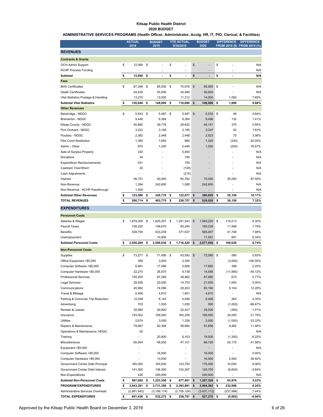#### **Kitsap Public Health District 2020 BUDGET**

**ADMINISTRATIVE SERVICES PROGRAMS (Health Officer, Administrator, Acctg, HR, IT, PIO, Clerical, & Facilities)**

|                                     | <b>ACTUAL</b><br>2018 |      | <b>BUDGET</b><br>2019 | <b>YTD ACTUAL</b><br>9/30/2019 |               | <b>BUDGET</b><br>2020    |            | <b>DIFFERENCE</b> | <b>DIFFERENCE</b><br>FROM 2019 (\$) FROM 2019 (%) |
|-------------------------------------|-----------------------|------|-----------------------|--------------------------------|---------------|--------------------------|------------|-------------------|---------------------------------------------------|
| <b>REVENUES</b>                     |                       |      |                       |                                |               |                          |            |                   |                                                   |
| <b>Contracts &amp; Grants</b>       |                       |      |                       |                                |               |                          |            |                   |                                                   |
| <b>OCH Admin Support</b>            | \$<br>12,090 \$       |      |                       | \$<br>Ĭ.                       | $\mathsf{\$}$ |                          | \$         |                   | N/A                                               |
| <b>KCHP Process Funding</b>         |                       |      |                       | ٠                              |               |                          |            |                   | N/A                                               |
| <b>Subtotal</b>                     | \$<br>12,090          | \$   | $\overline{a}$        | \$<br>$\overline{a}$           | \$            | ÷                        | \$         | $\blacksquare$    | N/A                                               |
| Fees                                |                       |      |                       |                                |               |                          |            |                   |                                                   |
| <b>Birth Certificates</b>           | \$<br>87,346          | - \$ | 85,000                | \$<br>70,978                   | \$            | 85,000                   | \$         |                   | N/A                                               |
| <b>Death Certificates</b>           | 54,428                |      | 50,000                | 34,490                         |               | 50,000                   |            |                   | N/A                                               |
| Vital Statistics Postage & Handling | 13,270                |      | 13,000                | 11,212                         |               | 14,000                   |            | 1,000             | 7.69%                                             |
| <b>Subtotal Vital Statistics</b>    | \$<br>155,044         | \$   | 148,000               | \$<br>116,680                  | \$            | 149,000 \$               |            | 1,000             | 0.68%                                             |
| <b>Other Revenues</b>               |                       |      |                       |                                |               |                          |            |                   |                                                   |
| Bainbridge - NDGC                   | \$<br>5,543 \$        |      | 5,487 \$              | 5,487                          | $\mathsf{\$}$ | 5,533                    | 5          | 46                | 0.84%                                             |
| Bremerton - NDGC                    | 9,448                 |      | 9,364                 | 9,364                          |               | 9,496                    |            | 132               | 1.41%                                             |
| Kitsap County - NDGC                | 40,665                |      | 39,776                | 29,832                         |               | 40,151                   |            | 375               | 0.94%                                             |
| Port Orchard - NDGC                 | 3,222                 |      | 3,195                 | 3,195                          |               | 3,247                    |            | 52                | 1.63%                                             |
| Poulsbo - NDGC                      | 2,382                 |      | 2,448                 | 2,448                          |               | 2,523                    |            | 75                | 3.06%                                             |
| <b>Flex Court Restitution</b>       | 1,390                 |      | 1,650                 | 880                            |               | 1,320                    |            | (330)             | $-20.00%$                                         |
| Admin - Other                       | 870                   |      | 1,200                 | 2,449                          |               | 1,000                    |            | (200)             | $-16.67%$                                         |
| Sale of Surplus Property            | 330                   |      |                       | 5,450                          |               | ÷,                       |            |                   | N/A                                               |
| Donations                           | 34                    |      | ٠                     | 185                            |               | $\overline{\phantom{0}}$ |            |                   | N/A                                               |
| <b>Expenditure Reimbursements</b>   | 531                   |      |                       | 755                            |               | ÷                        |            |                   | N/A                                               |
| Cashiers' Over/Short                | 20                    |      |                       | (100)                          |               | ٠                        |            |                   | N/A                                               |
| Cash Adjustments                    |                       |      |                       | (210)                          |               |                          |            |                   | N/A                                               |
| Interest                            | 56,751                |      | 40,000                | 60,762                         |               | 75,000                   |            | 35,000            | 87.50%                                            |
| Non-Revenue                         | 1,394                 |      | 242,650               | 1,580                          |               | 242,650                  |            |                   | N/A                                               |
| Non-Revenue - KCHP Passthrough      | 1,000                 |      |                       |                                |               |                          |            |                   | N/A                                               |
| <b>Subtotal Other Revenues</b>      | \$<br>123,580         | \$   | 345,770               | \$<br>122,077                  | \$            | 380,920                  | \$         | 35,150            | 10.17%                                            |
| <b>TOTAL REVENUES</b>               | \$<br>290,714         | \$   | 493,770               | \$<br>238,757                  | \$            | 529,920                  | s          | 36,150            | 7.32%                                             |
| <b>EXPENDITURES</b>                 |                       |      |                       |                                |               |                          |            |                   |                                                   |
| <b>Personnel Costs</b>              |                       |      |                       |                                |               |                          |            |                   |                                                   |
| Salaries & Wages                    | \$<br>1,879,300       | - \$ | 1,825,207 \$          | 1,251,543                      | $\mathcal{S}$ | 1,940,220                | $\sqrt{3}$ | 115,013           | 6.30%                                             |
| Payroll Taxes                       | 138,230               |      | 148,670               | 93,240                         |               | 160,238                  |            | 11,568            | 7.78%                                             |

| Payroll Taxes                       | 138,230         |    | 148,670       | 93,240        |               | 160,238      |          | 11,568     | 7.78%       |
|-------------------------------------|-----------------|----|---------------|---------------|---------------|--------------|----------|------------|-------------|
| <b>Benefits</b>                     | 538,759         |    | 523,259       | 371,637       |               | 565,007      |          | 41,748     | 7.98%       |
| Unemployment                        |                 |    | 10,900        |               |               | 11,591       |          | 691        | 6.34%       |
| <b>Subtotal Personnel Costs</b>     | \$<br>2,556,289 | s  | 2,508,036 \$  | 1,716,420     | \$            | 2,677,056 \$ |          | 169,020    | 6.74%       |
| <b>Non-Personnel Costs</b>          |                 |    |               |               |               |              |          |            |             |
| Supplies                            | \$<br>73,277 \$ |    | 71,490 \$     | 43,592        | $\mathsf{\$}$ | 72,080 \$    |          | 590        | 0.83%       |
| Office Equipment <\$5,000           | 359             |    | 3,000         | 2,354         |               |              |          | (3,000)    | $-100.00\%$ |
| Computer Software <\$5,000          | 6,981           |    | 17,596        | 5,956         |               | 17,992       |          | 396        | 2.25%       |
| Computer Hardware <\$5,000          | 22,270          |    | 26,575        | 9.738         |               | 14,585       |          | (11,990)   | $-45.12%$   |
| <b>Professional Services</b>        | 155,205         |    | 87,285        | 39,982        |               | 87,960       |          | 675        | 0.77%       |
| <b>Legal Services</b>               | 29,926          |    | 20,000        | 14,753        |               | 21,000       |          | 1,000      | 5.00%       |
| Communications                      | 45,982          |    | 74,056        | 28,203        |               | 83,160       |          | 9,104      | 12.29%      |
| Travel & Mileage                    | 6,406           |    | 4,810         | 1,651         |               | 4,810        |          |            | N/A         |
| Parking & Commute Trip Reduction    | 12,048          |    | 6,144         | 4,090         |               | 6,408        |          | 264        | 4.30%       |
| Advertising                         | 703             |    | 1,500         | 1,050         |               | 500          |          | (1,000)    | $-66.67%$   |
| Rentals & Leases                    | 35,990          |    | 29,800        | 22,427        |               | 29,500       |          | (300)      | $-1.01%$    |
| Insurance                           | 143,002         |    | 156,000       | 164,258       |               | 190,000      |          | 34,000     | 21.79%      |
| <b>Utilities</b>                    | 2,674           |    | 3,000         | 1,326         |               | 2,000        |          | (1,000)    | $-33.33%$   |
| Repairs & Maintenance               | 79,987          |    | 82,394        | 58,860        |               | 91,856       |          | 9,462      | 11.48%      |
| Operations & Maintenance: NDGC      | 52              |    |               |               |               |              |          |            | N/A         |
| Training                            |                 |    | 20,800        | 6,103         |               | 19,500       |          | (1,300)    | $-6.25%$    |
| Miscellaneous                       | 65,504          |    | 48,550        | 47,101        |               | 68,725       |          | 20,175     | 41.56%      |
| Equipment >\$5,000                  |                 |    |               |               |               |              |          |            | N/A         |
| Computer Software >\$5,000          |                 |    | 16,000        |               |               | 16,000       |          |            | 0.00%       |
| Computer Hardware >\$5,000          |                 |    | 13,000        | ä,            |               | 16,500       |          | 3,500      | 26.92%      |
| Government Center Debt Principal    | 165,000         |    | 165,000       | 123,750       |               | 175,000      |          | 10,000     | 6.06%       |
| Government Center Debt Interest     | 141,300         |    | 136,350       | 102,267       |               | 129,750      |          | (6,600)    | $-4.84%$    |
| Non-Expenditures                    | 426             |    | 240,000       | ä,            |               | 240,000      |          |            | N/A         |
| <b>Subtotal Non-Personnel Costs</b> | \$<br>987,092   | \$ | 1,223,350 \$  | 677,461       | \$            | 1,287,326    | \$       | 63,976     | 5.23%       |
| <b>PROGRAM EXPENDITURES</b>         | \$<br>3,543,381 | s  | 3,731,386 \$  | 2,393,881     | \$            | 3,964,382    | <b>S</b> | 232,996    | 6.24%       |
| Administrative Services Overhead    | (2,891,943)     |    | (3, 199, 114) | (2, 155, 124) |               | (3,437,112)  |          | (237, 998) | 7.44%       |
| <b>TOTAL EXPENDITURES</b>           | \$<br>651.438   | \$ | 532,272 \$    | 238,757       | \$            | 527,270 \$   |          | (5,002)    | $-0.94%$    |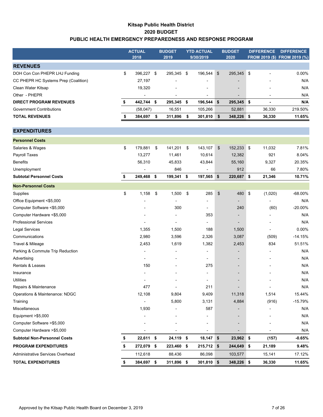### **Kitsap Public Health District 2020 BUDGET PUBLIC HEALTH EMERGENCY PREPAREDNESS AND RESPONSE PROGRAM**

|                                      | <b>ACTUAL</b>            | <b>BUDGET</b>                | <b>YTD ACTUAL</b>            |                | <b>BUDGET</b>            | <b>DIFFERENCE</b> | <b>DIFFERENCE</b>            |
|--------------------------------------|--------------------------|------------------------------|------------------------------|----------------|--------------------------|-------------------|------------------------------|
|                                      | 2018                     | 2019                         | 9/30/2019                    |                | 2020                     |                   | FROM 2019 (\$) FROM 2019 (%) |
| <b>REVENUES</b>                      |                          |                              |                              |                |                          |                   |                              |
| DOH Con Con PHEPR LHJ Funding        | \$<br>396,227 \$         | 295,345 \$                   | 196,544                      | $\sqrt{3}$     | 295,345 \$               |                   | 0.00%                        |
| CC PHEPR HC Systems Prep (Coalition) | 27,197                   |                              |                              |                |                          |                   | N/A                          |
| Clean Water Kitsap                   | 19,320                   |                              |                              |                |                          |                   | N/A                          |
| Other - PHEPR                        |                          |                              | $\overline{\phantom{a}}$     |                |                          |                   | N/A                          |
| <b>DIRECT PROGRAM REVENUES</b>       | \$<br>442,744 \$         | 295,345 \$                   | 196,544                      | \$             | 295,345 \$               | $\blacksquare$    | N/A                          |
| <b>Government Contributions</b>      | (58, 047)                | 16,551                       | 105,266                      |                | 52,881                   | 36,330            | 219.50%                      |
| <b>TOTAL REVENUES</b>                | \$<br>384,697            | \$<br>311,896                | \$<br>301,810                | \$             | 348,226 \$               | 36,330            | 11.65%                       |
|                                      |                          |                              |                              |                |                          |                   |                              |
| <b>EXPENDITURES</b>                  |                          |                              |                              |                |                          |                   |                              |
| <b>Personnel Costs</b>               |                          |                              |                              |                |                          |                   |                              |
| Salaries & Wages                     | \$<br>179,881            | \$<br>141,201 \$             | 143,107                      | $\mathfrak{F}$ | 152,233 \$               | 11,032            | 7.81%                        |
| Payroll Taxes                        | 13,277                   | 11,461                       | 10,614                       |                | 12,382                   | 921               | 8.04%                        |
| <b>Benefits</b>                      | 56,310                   | 45,833                       | 43,844                       |                | 55,160                   | 9,327             | 20.35%                       |
| Unemployment                         |                          | 846                          |                              |                | 912                      | 66                | 7.80%                        |
| <b>Subtotal Personnel Costs</b>      | \$<br>249,468 \$         | 199,341 \$                   | 197,565 \$                   |                | 220,687 \$               | 21,346            | 10.71%                       |
| <b>Non-Personnel Costs</b>           |                          |                              |                              |                |                          |                   |                              |
| Supplies                             | \$<br>1,158              | \$<br>1,500                  | \$<br>285                    | \$             | 480 \$                   | (1,020)           | $-68.00\%$                   |
| Office Equipment <\$5,000            | ٠                        |                              | $\blacksquare$               |                | $\overline{\phantom{a}}$ | $\blacksquare$    | N/A                          |
| Computer Software <\$5,000           |                          | 300                          | $\blacksquare$               |                | 240                      | (60)              | $-20.00%$                    |
| Computer Hardware <\$5,000           |                          |                              | 353                          |                |                          |                   | N/A                          |
| <b>Professional Services</b>         |                          |                              |                              |                |                          |                   | N/A                          |
| <b>Legal Services</b>                | 1,355                    | 1,500                        | 188                          |                | 1,500                    |                   | 0.00%                        |
| Communications                       | 2,980                    | 3,596                        | 2,326                        |                | 3,087                    | (509)             | $-14.15%$                    |
| Travel & Mileage                     | 2,453                    | 1,619                        | 1,382                        |                | 2,453                    | 834               | 51.51%                       |
| Parking & Commute Trip Reduction     | ÷,                       |                              | $\blacksquare$               |                |                          |                   | N/A                          |
| Advertising                          |                          |                              | $\blacksquare$               |                |                          |                   | N/A                          |
| Rentals & Leases                     | 150                      |                              | 275                          |                | $\overline{\phantom{a}}$ |                   | N/A                          |
| Insurance                            |                          |                              |                              |                |                          |                   | N/A                          |
| <b>Utilities</b>                     |                          |                              | $\overline{\phantom{a}}$     |                |                          |                   | N/A                          |
| Repairs & Maintenance                | 477                      | $\overline{\phantom{0}}$     | 211                          |                |                          | $\overline{a}$    | N/A                          |
| Operations & Maintenance: NDGC       | 12,108                   | 9,804                        | 9,409                        |                | 11,318                   | 1,514             | 15.44%                       |
| Training                             |                          | 5,800                        | 3,131                        |                | 4,884                    | (916)             | $-15.79%$                    |
| Miscellaneous                        | 1,930                    |                              | 587                          |                |                          |                   | N/A                          |
| Equipment >\$5,000                   |                          |                              |                              |                |                          |                   | N/A                          |
| Computer Software >\$5,000           |                          |                              |                              |                |                          |                   | N/A                          |
| Computer Hardware > \$5,000          | $\overline{\phantom{a}}$ | $\qquad \qquad \blacksquare$ | $\qquad \qquad \blacksquare$ |                |                          |                   | N/A                          |
| <b>Subtotal Non-Personnel Costs</b>  | \$<br>22,611 \$          | 24,119 \$                    | $18,147$ \$                  |                | 23,962 \$                | (157)             | $-0.65%$                     |
| <b>PROGRAM EXPENDITURES</b>          | \$<br>272,079 \$         | 223,460 \$                   | 215,712 \$                   |                | 244,649 \$               | 21,189            | 9.48%                        |
| Administrative Services Overhead     | 112,618                  | 88,436                       | 86,098                       |                | 103,577                  | 15,141            | 17.12%                       |
| <b>TOTAL EXPENDITURES</b>            | \$<br>384,697 \$         | 311,896 \$                   | 301,810 \$                   |                | 348,226 \$               | 36,330            | 11.65%                       |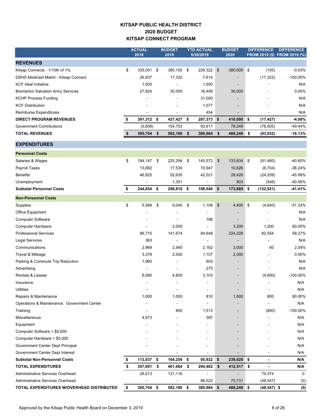### **KITSAP PUBLIC HEALTH DISTRICT 2020 BUDGET KITSAP CONNECT PROGRAM**

|                                             | <b>ACTUAL</b>    |      | <b>BUDGET</b>  | <b>YTD ACTUAL</b> |            | <b>BUDGET</b>            | <b>DIFFERENCE</b> | <b>DIFFERENCE</b>            |
|---------------------------------------------|------------------|------|----------------|-------------------|------------|--------------------------|-------------------|------------------------------|
|                                             | 2018             |      | 2019           | 9/30/2019         |            | 2020                     |                   | FROM 2019 (\$) FROM 2019 (%) |
| <b>REVENUES</b>                             |                  |      |                |                   |            |                          |                   |                              |
| Kitsap Connects - 1/10th of 1%              | \$<br>335,051 \$ |      | 380,105 \$     | 229,322 \$        |            | 380,000 \$               | (105)             | $-0.03%$                     |
| DSHS Medicaid Match - Kitsap Connect        | 26,837           |      | 17,322         | 7,614             |            |                          | (17, 322)         | $-100.00\%$                  |
| <b>KCF Heal Initiative</b>                  | 1,500            |      |                | 1,500             |            | $\overline{\phantom{a}}$ |                   | N/A                          |
| <b>Bremerton Salvation Army Services</b>    | 27,924           |      | 30,000         | 16,406            |            | 30,000                   |                   | 0.00%                        |
| <b>KCHP Process Funding</b>                 |                  |      |                | 31,000            |            |                          |                   | N/A                          |
| <b>KCF Distribution</b>                     |                  |      |                | 1,077             |            |                          |                   | N/A                          |
| Reimburse Expenditures                      |                  |      | $\blacksquare$ | 454               |            | $\overline{\phantom{a}}$ |                   | N/A                          |
| <b>DIRECT PROGRAM REVENUES</b>              | \$<br>391,312 \$ |      | 427,427        | \$<br>287,373 \$  |            | 410,000 \$               | (17, 427)         | $-4.08%$                     |
| <b>Government Contributions</b>             | (5,608)          |      | 154,753        | 93,611            |            | 78,248                   | (76, 505)         | -49.44%                      |
| <b>TOTAL REVENUES</b>                       | \$<br>385,704 \$ |      | 582,180        | \$<br>380,984     | \$         | 488,248                  | \$<br>(93, 932)   | $-16.13%$                    |
| <b>EXPENDITURES</b>                         |                  |      |                |                   |            |                          |                   |                              |
| <b>Personnel Costs</b>                      |                  |      |                |                   |            |                          |                   |                              |
| Salaries & Wages                            | \$<br>184,147    | - \$ | 225,294        | \$<br>145,572     | \$         | 133,834 \$               | (91, 460)         | -40.60%                      |
| Payroll Taxes                               | 13,682           |      | 17,530         | 10,947            |            | 10,826                   | (6,704)           | -38.24%                      |
| <b>Benefits</b>                             | 46,825           |      | 52,635         | 42,021            |            | 28,426                   | (24, 209)         | -45.99%                      |
| Unemployment                                |                  |      | 1,351          | $\overline{a}$    |            | 803                      | (548)             | -40.56%                      |
| <b>Subtotal Personnel Costs</b>             | \$<br>244,654 \$ |      | 296,810 \$     | 198,540           | $\sqrt{3}$ | 173,889 \$               | (122, 921)        | -41.41%                      |
| <b>Non-Personnel Costs</b>                  |                  |      |                |                   |            |                          |                   |                              |
| Supplies                                    | \$<br>5,599      | \$   | 9,040          | \$<br>1,108       | \$         | 4,400 \$                 | (4,640)           | $-51.33%$                    |
| Office Equipment                            |                  |      |                | ä,                |            | $\overline{\phantom{a}}$ |                   | N/A                          |
| <b>Computer Software</b>                    |                  |      |                | 196               |            | $\overline{\phantom{a}}$ | $\blacksquare$    | N/A                          |
| <b>Computer Hardware</b>                    |                  |      | 2,000          |                   |            | 3,200                    | 1,200             | 60.00%                       |
| <b>Professional Services</b>                | 86,715           |      | 141,674        | 84,648            |            | 224,228                  | 82,554            | 58.27%                       |
| <b>Legal Services</b>                       | 363              |      |                |                   |            |                          |                   | N/A                          |
| Communications                              | 2,969            |      | 2,940          | 2,162             |            | 3,000                    | 60                | 2.04%                        |
| Travel & Mileage                            | 3,378            |      | 2,000          | 1,107             |            | 2,000                    |                   | 0.00%                        |
| Parking & Commute Trip Reduction            | 1,960            |      |                | 603               |            | $\overline{\phantom{a}}$ |                   | N/A                          |
| Advertising                                 |                  |      |                | 275               |            | $\overline{\phantom{a}}$ |                   | N/A                          |
| Rentals & Leases                            | 6,080            |      | 4,800          | 3,103             |            | $\overline{\phantom{a}}$ | (4,800)           | -100.00%                     |
| Insurance                                   |                  |      |                |                   |            | $\blacksquare$           |                   | N/A                          |
| Utilities                                   |                  |      |                |                   |            |                          |                   | N/A                          |
| Repairs & Maintenance                       | 1,000            |      | 1,000          | 810               |            | 1,800                    | 800               | 80.00%                       |
| Operations & Maintenance: Government Center |                  |      |                |                   |            |                          |                   | N/A                          |
| Training                                    |                  |      | 800            | 1,513             |            |                          | (800)             | $-100.00\%$                  |
| Miscellaneous                               | 4,973            |      |                | 397               |            |                          |                   | N/A                          |
| Equipment                                   |                  |      |                |                   |            |                          |                   | N/A                          |
| Computer Software > \$5,000                 |                  |      |                |                   |            |                          |                   | N/A                          |
| Computer Hardware > \$5,000                 |                  |      |                |                   |            |                          |                   | N/A                          |
| Government Center Dept Principal            |                  |      |                |                   |            |                          |                   | N/A                          |
| Government Center Dept Interest             |                  |      |                |                   |            |                          |                   | N/A                          |
| <b>Subtotal Non-Personnel Costs</b>         | 113,037 \$       |      | 164,254        | \$<br>95,922      | \$         | 238,628 \$               |                   | N/A                          |
| <b>TOTAL EXPENDITURES</b>                   | 357,691 \$       |      | 461,064        | \$<br>294,462     | \$         | 412,517                  | \$                | N/A                          |
| Administrative Services Overhead            | 28,013           |      | 121,116        | ÷                 |            | $\overline{\phantom{a}}$ | 74,374            | 0                            |
| Administrative Services Overhead            |                  |      |                | 86,522            |            | 75,731                   | (48, 547)         | (0)                          |
| TOTAL EXPENDITURES W/OVERHEAD DISTRIBUTED   | \$<br>385,704 \$ |      | 582,180 \$     | 380,984 \$        |            | 488,248 \$               | $(48, 547)$ \$    | (0)                          |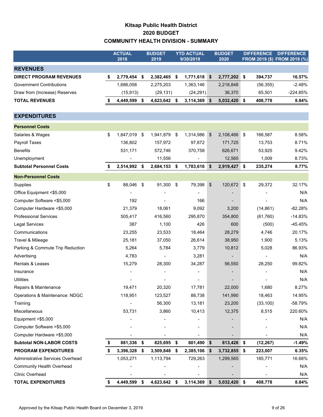### **Kitsap Public Health District 2020 BUDGET COMMUNITY HEALTH DIVISION - SUMMARY**

|                                  |    | <b>ACTUAL</b><br>2018 | <b>BUDGET</b><br>2019 |     | <b>YTD ACTUAL</b><br>9/30/2019 |                           | <b>BUDGET</b><br>2020 | <b>DIFFERENCE</b> | <b>DIFFERENCE</b><br>FROM 2019 (\$) FROM 2019 (%) |
|----------------------------------|----|-----------------------|-----------------------|-----|--------------------------------|---------------------------|-----------------------|-------------------|---------------------------------------------------|
| <b>REVENUES</b>                  |    |                       |                       |     |                                |                           |                       |                   |                                                   |
| <b>DIRECT PROGRAM REVENUES</b>   | \$ | 2,779,454 \$          | 2,382,465             | \$  | 1,771,618                      | \$                        | 2,777,202 \$          | 394,737           | 16.57%                                            |
| <b>Government Contributions</b>  |    | 1,686,058             | 2,275,203             |     | 1,363,146                      |                           | 2,218,848             | (56, 355)         | $-2.48%$                                          |
| Draw from (Increase) Reserves    |    | (15, 913)             | (29, 131)             |     | (24, 291)                      |                           | 36,370                | 65,501            | $-224.85%$                                        |
| <b>TOTAL REVENUES</b>            | S  | 4,449,599 \$          | 4,623,642             | \$  | 3,114,369 \$                   |                           | 5,032,420 \$          | 408,778           | 8.84%                                             |
| <b>EXPENDITURES</b>              |    |                       |                       |     |                                |                           |                       |                   |                                                   |
| <b>Personnel Costs</b>           |    |                       |                       |     |                                |                           |                       |                   |                                                   |
| Salaries & Wages                 | \$ | 1,847,019 \$          | 1,941,879             | -\$ | 1,314,986                      | $\boldsymbol{\mathsf{s}}$ | $2,108,466$ \$        | 166,587           | 8.58%                                             |
| <b>Payroll Taxes</b>             |    | 136,802               | 157,972               |     | 97,872                         |                           | 171,725               | 13,753            | 8.71%                                             |
| <b>Benefits</b>                  |    | 531,171               | 572,746               |     | 370,758                        |                           | 626,671               | 53,925            | 9.42%                                             |
| Unemployment                     |    |                       | 11,556                |     |                                |                           | 12,565                | 1,009             | 8.73%                                             |
| <b>Subtotal Personnel Costs</b>  | \$ | 2,514,992 \$          | 2,684,153             | \$  | 1,783,616 \$                   |                           | 2,919,427             | \$<br>235,274     | 8.77%                                             |
| <b>Non-Personnel Costs</b>       |    |                       |                       |     |                                |                           |                       |                   |                                                   |
| Supplies                         | \$ | 88,046                | \$<br>91,300          | \$  | 79,398                         | \$                        | 120,672 \$            | 29,372            | 32.17%                                            |
| Office Equipment <\$5,000        |    |                       |                       |     |                                |                           |                       |                   | N/A                                               |
| Computer Software <\$5,000       |    | 192                   |                       |     | 166                            |                           |                       |                   | N/A                                               |
| Computer Hardware <\$5,000       |    | 21,379                | 18,061                |     | 9,092                          |                           | 3,200                 | (14, 861)         | $-82.28%$                                         |
| <b>Professional Services</b>     |    | 505,417               | 416,560               |     | 295,870                        |                           | 354,800               | (61, 760)         | $-14.83%$                                         |
| Legal Services                   |    | 387                   | 1,100                 |     | 426                            |                           | 600                   | (500)             | $-45.45%$                                         |
| Communications                   |    | 23,255                | 23,533                |     | 18,464                         |                           | 28,279                | 4,746             | 20.17%                                            |
| Travel & Mileage                 |    | 25,181                | 37,050                |     | 26,614                         |                           | 38,950                | 1,900             | 5.13%                                             |
| Parking & Commute Trip Reduction |    | 5,264                 | 5,784                 |     | 3,779                          |                           | 10,812                | 5,028             | 86.93%                                            |
| Advertising                      |    | 4,783                 |                       |     | 3,281                          |                           |                       |                   | N/A                                               |
| <b>Rentals &amp; Leases</b>      |    | 15,279                | 28,300                |     | 34,287                         |                           | 56,550                | 28,250            | 99.82%                                            |
| Insurance                        |    |                       |                       |     |                                |                           |                       |                   | N/A                                               |
| <b>Utilities</b>                 |    |                       |                       |     |                                |                           |                       |                   | N/A                                               |
| Repairs & Maintenance            |    | 19,471                | 20,320                |     | 17,781                         |                           | 22,000                | 1,680             | 8.27%                                             |
| Operations & Maintenance: NDGC   |    | 118,951               | 123,527               |     | 88,738                         |                           | 141,990               | 18,463            | 14.95%                                            |
| Training                         |    |                       | 56,300                |     | 13,181                         |                           | 23,200                | (33, 100)         | -58.79%                                           |
| Miscellaneous                    |    | 53,731                | 3,860                 |     | 10,413                         |                           | 12,375                | 8,515             | 220.60%                                           |
| Equipment >\$5,000               |    |                       |                       |     |                                |                           |                       |                   | N/A                                               |
| Computer Software > \$5,000      |    |                       |                       |     |                                |                           |                       |                   | N/A                                               |
| Computer Hardware > \$5,000      |    |                       |                       |     |                                |                           |                       |                   | N/A                                               |
| <b>Subtotal NON-LABOR COSTS</b>  | \$ | 881,336               | \$<br>825,695         | \$  | 601,490                        | \$                        | 813,428               | \$<br>(12, 267)   | $-1.49%$                                          |
| <b>PROGRAM EXPENDITURES</b>      | \$ | 3,396,328             | \$<br>3,509,848       | \$  | 2,385,106                      | \$                        | 3,732,855             | \$<br>223,007     | 6.35%                                             |
| Administrative Services Overhead |    | 1,053,271             | 1,113,794             |     | 729,263                        |                           | 1,299,565             | 185,771           | 16.68%                                            |
| <b>Community Health Overhead</b> |    |                       |                       |     |                                |                           |                       |                   | N/A                                               |
| Clinic Overhead                  |    |                       |                       |     |                                |                           |                       |                   | N/A                                               |
| <b>TOTAL EXPENDITURES</b>        | \$ | 4,449,599             | \$<br>4,623,642       | \$  | 3,114,369                      | \$                        | 5,032,420 \$          | 408,778           | 8.84%                                             |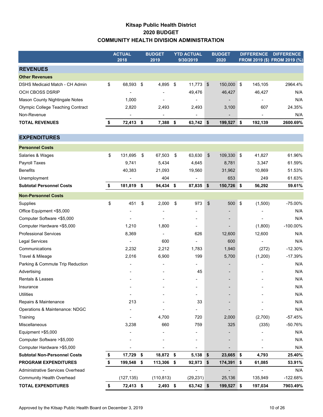### **Kitsap Public Health District 2020 BUDGET COMMUNITY HEALTH DIVISION ADMINISTRATION**

|                                          | <b>ACTUAL</b><br>2018 | <b>BUDGET</b><br>2019 | <b>YTD ACTUAL</b><br>9/30/2019 |               | <b>BUDGET</b><br>2020    |                           | <b>DIFFERENCE</b> | <b>DIFFERENCE</b><br>FROM 2019 (\$) FROM 2019 (%) |
|------------------------------------------|-----------------------|-----------------------|--------------------------------|---------------|--------------------------|---------------------------|-------------------|---------------------------------------------------|
| <b>REVENUES</b>                          |                       |                       |                                |               |                          |                           |                   |                                                   |
| <b>Other Revenues</b>                    |                       |                       |                                |               |                          |                           |                   |                                                   |
| DSHS Medicaid Match - CH Admin           | \$<br>68,593          | \$<br>4,895           | \$<br>11,773                   | $\sqrt[6]{3}$ | 150,000 \$               |                           | 145,105           | 2964.4%                                           |
| <b>OCH CBOSS DSRIP</b>                   |                       |                       | 49,476                         |               | 46,427                   |                           | 46,427            | N/A                                               |
| Mason County Nightingale Notes           | 1,000                 |                       |                                |               |                          |                           |                   | N/A                                               |
| <b>Olympic College Teaching Contract</b> | 2,820                 | 2,493                 | 2,493                          |               | 3,100                    |                           | 607               | 24.35%                                            |
| Non-Revenue                              | ٠                     |                       |                                |               |                          |                           |                   | N/A                                               |
| <b>TOTAL REVENUES</b>                    | \$<br>72,413 \$       | 7,388 \$              | 63,742 \$                      |               | 199,527 \$               |                           | 192,139           | 2600.69%                                          |
| <b>EXPENDITURES</b>                      |                       |                       |                                |               |                          |                           |                   |                                                   |
| <b>Personnel Costs</b>                   |                       |                       |                                |               |                          |                           |                   |                                                   |
| Salaries & Wages                         | \$<br>131,695         | \$<br>67,503          | \$<br>63,630                   | $\frac{1}{2}$ | 109,330 \$               |                           | 41,827            | 61.96%                                            |
| Payroll Taxes                            | 9,741                 | 5,434                 | 4,645                          |               | 8,781                    |                           | 3,347             | 61.59%                                            |
| <b>Benefits</b>                          | 40,383                | 21,093                | 19,560                         |               | 31,962                   |                           | 10,869            | 51.53%                                            |
| Unemployment                             |                       | 404                   |                                |               | 653                      |                           | 249               | 61.63%                                            |
| <b>Subtotal Personnel Costs</b>          | \$<br>181,819         | \$<br>94,434 \$       | 87,835 \$                      |               | 150,726                  | \$                        | 56,292            | 59.61%                                            |
| <b>Non-Personnel Costs</b>               |                       |                       |                                |               |                          |                           |                   |                                                   |
| Supplies                                 | \$<br>451             | \$<br>2,000           | \$<br>973                      | \$            | 500                      | $\boldsymbol{\mathsf{S}}$ | (1,500)           | $-75.00%$                                         |
| Office Equipment <\$5,000                |                       |                       |                                |               |                          |                           |                   | N/A                                               |
| Computer Software <\$5,000               |                       |                       |                                |               |                          |                           |                   | N/A                                               |
| Computer Hardware <\$5,000               | 1,210                 | 1,800                 |                                |               |                          |                           | (1,800)           | $-100.00\%$                                       |
| <b>Professional Services</b>             | 8,369                 |                       | 626                            |               | 12,600                   |                           | 12,600            | N/A                                               |
| <b>Legal Services</b>                    | ä,                    | 600                   |                                |               | 600                      |                           |                   | N/A                                               |
| Communications                           | 2,232                 | 2,212                 | 1,783                          |               | 1,940                    |                           | (272)             | $-12.30%$                                         |
| Travel & Mileage                         | 2,016                 | 6,900                 | 199                            |               | 5,700                    |                           | (1,200)           | $-17.39%$                                         |
| Parking & Commute Trip Reduction         |                       |                       |                                |               | $\overline{\phantom{a}}$ |                           |                   | N/A                                               |
| Advertising                              |                       |                       | 45                             |               |                          |                           |                   | N/A                                               |
| Rentals & Leases                         |                       |                       |                                |               |                          |                           |                   | N/A                                               |
| Insurance                                |                       |                       |                                |               |                          |                           |                   | N/A                                               |
| <b>Utilities</b>                         |                       |                       |                                |               |                          |                           |                   | N/A                                               |
| Repairs & Maintenance                    | 213                   |                       | 33                             |               |                          |                           |                   | N/A                                               |
| Operations & Maintenance: NDGC           |                       |                       |                                |               |                          |                           |                   | N/A                                               |
| Training                                 |                       | 4,700                 | 720                            |               | 2,000                    |                           | (2,700)           | $-57.45%$                                         |
| Miscellaneous                            | 3,238                 | 660                   | 759                            |               | 325                      |                           | (335)             | -50.76%                                           |
| Equipment >\$5,000                       |                       |                       |                                |               |                          |                           |                   | N/A                                               |
| Computer Software > \$5,000              |                       |                       |                                |               |                          |                           |                   | N/A                                               |
| Computer Hardware >\$5,000               |                       |                       |                                |               |                          |                           |                   | N/A                                               |
| <b>Subtotal Non-Personnel Costs</b>      | \$<br>17,729          | \$<br>18,872 \$       | $5,138$ \$                     |               | 23,665 \$                |                           | 4,793             | 25.40%                                            |
| <b>PROGRAM EXPENDITURES</b>              | \$<br>199,548         | \$<br>113,306 \$      | 92,973                         | $\sqrt[6]{3}$ | 174,391 \$               |                           | 61,085            | 53.91%                                            |
| Administrative Services Overhead         |                       |                       | ٠                              |               |                          |                           |                   | N/A                                               |
| <b>Community Health Overhead</b>         | (127, 135)            | (110, 813)            | (29, 231)                      |               | 25,136                   |                           | 135,949           | -122.68%                                          |
| <b>TOTAL EXPENDITURES</b>                | \$<br>72,413 \$       | $2,493$ \$            | 63,742 \$                      |               | 199,527 \$               |                           | 197,034           | 7903.49%                                          |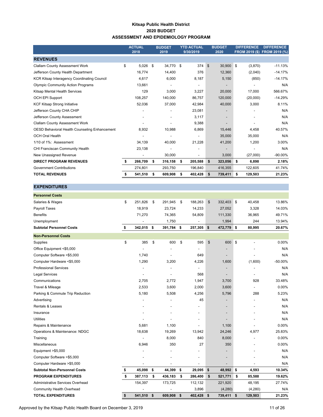#### **Kitsap Public Health District 2020 BUDGET ASSESSMENT AND EPIDEMIOLOGY PROGRAM**

|                                                      | <b>ACTUAL</b><br>2018    | <b>BUDGET</b><br>2019    | <b>YTD ACTUAL</b><br>9/30/2019 |              | <b>BUDGET</b><br>2020 | <b>DIFFERENCE</b> | <b>DIFFERENCE</b><br>FROM 2019 (\$) FROM 2019 (%) |
|------------------------------------------------------|--------------------------|--------------------------|--------------------------------|--------------|-----------------------|-------------------|---------------------------------------------------|
| <b>REVENUES</b>                                      |                          |                          |                                |              |                       |                   |                                                   |
| <b>Clallam County Assessment Work</b>                | \$<br>5,026              | \$<br>34,770             | \$<br>374                      | $\mathbb{S}$ | 30,900                | \$<br>(3,870)     | $-11.13%$                                         |
| Jefferson County Health Department                   | 16,774                   | 14.400                   | 376                            |              | 12,360                | (2,040)           | $-14.17%$                                         |
| <b>KCR Kitsap Interagency Coordinating Council</b>   | 4,617                    | 6,000                    | 8,187                          |              | 5,150                 | (850)             | $-14.17%$                                         |
| <b>Olympic Community Action Programs</b>             | 13,661                   |                          |                                |              |                       |                   | N/A                                               |
| Kitsap Mental Health Services                        | 129                      | 3.000                    | 3,227                          |              | 20,000                | 17.000            | 566.67%                                           |
| <b>OCH EPI Support</b>                               | 108,257                  | 140,000                  | 86,757                         |              | 120,000               | (20,000)          | $-14.29%$                                         |
| <b>KCF Kitsap Strong Initiative</b>                  | 52,036                   | 37,000                   | 42,984                         |              | 40,000                | 3,000             | 8.11%                                             |
| Jefferson County CHA CHIP                            |                          |                          | 23,081                         |              |                       |                   | N/A                                               |
| Jefferson County Assessment                          | $\overline{\phantom{a}}$ | $\overline{\phantom{a}}$ | 3,117                          |              |                       |                   | N/A                                               |
| <b>Clallam County Assessment Work</b>                |                          |                          | 9,388                          |              |                       |                   | N/A                                               |
| <b>OESD Behavioral Health Counseling Enhancement</b> | 8,932                    | 10,988                   | 6,869                          |              | 15,446                | 4,458             | 40.57%                                            |
| <b>OCH Oral Health</b>                               |                          |                          |                                |              | 35,000                | 35,000            | N/A                                               |
| 1/10 of 1%: Assessment                               | 34,139                   | 40,000                   | 21,228                         |              | 41,200                | 1,200             | 3.00%                                             |
| CHI Franciscan Community Health                      | 23,138                   | $\overline{\phantom{a}}$ | $\overline{\phantom{a}}$       |              |                       |                   | N/A                                               |
| New Unassigned Revenue                               | $\overline{\phantom{a}}$ | 30,000                   |                                |              | 3,000                 | (27,000)          | $-90.00%$                                         |
| <b>DIRECT PROGRAM REVENUES</b>                       | \$<br>266,709            | \$<br>316,158            | \$<br>205,588                  | \$           | 323,056               | \$<br>6,898       | 2.18%                                             |
| <b>Government Contributions</b>                      | 274,801                  | 293,750                  | 196,840                        |              | 416,355               | 122,605           | 41.74%                                            |
| <b>TOTAL REVENUES</b>                                | 541,510                  | \$<br>609,908            | \$<br>402,428                  | \$           | 739,411               | \$<br>129,503     | 21.23%                                            |

#### **EXPENDITURES**

| <b>Personnel Costs</b>              |               |               |              |                |               |               |           |
|-------------------------------------|---------------|---------------|--------------|----------------|---------------|---------------|-----------|
| Salaries & Wages                    | \$<br>251,826 | \$<br>291,945 | \$           | 188,263        | \$<br>332,403 | \$<br>40,458  | 13.86%    |
| Payroll Taxes                       | 18,919        | 23,724        |              | 14,233         | 27,052        | 3,328         | 14.03%    |
| <b>Benefits</b>                     | 71,270        | 74,365        |              | 54,809         | 111,330       | 36,965        | 49.71%    |
| Unemployment                        | Ĭ.            | 1,750         |              |                | 1,994         | 244           | 13.94%    |
| <b>Subtotal Personnel Costs</b>     | \$<br>342,015 | \$<br>391,784 | \$           | 257,305        | \$<br>472,779 | \$<br>80,995  | 20.67%    |
| <b>Non-Personnel Costs</b>          |               |               |              |                |               |               |           |
| Supplies                            | \$<br>385     | \$<br>600     | \$           | 595            | \$<br>600     | \$            | 0.00%     |
| Office Equipment <\$5,000           |               |               |              |                |               |               | N/A       |
| Computer Software <\$5,000          | 1,740         |               |              | 649            |               |               | N/A       |
| Computer Hardware <\$5,000          | 1,290         | 3,200         |              | 4,226          | 1,600         | (1,600)       | $-50.00%$ |
| <b>Professional Services</b>        |               |               |              | -              |               |               | N/A       |
| <b>Legal Services</b>               |               |               |              | 568            |               |               | N/A       |
| Communications                      | 2,705         | 2,772         |              | 1,947          | 3,700         | 928           | 33.48%    |
| Travel & Mileage                    | 2,533         | 3,600         |              | 2,000          | 3,600         |               | 0.00%     |
| Parking & Commute Trip Reduction    | 5,180         | 5,508         |              | 4,256          | 5,796         | 288           | 5.23%     |
| Advertising                         |               |               |              | 45             |               |               | N/A       |
| <b>Rentals &amp; Leases</b>         |               |               |              |                |               |               | N/A       |
| Insurance                           |               |               |              | $\overline{a}$ |               |               | N/A       |
| <b>Utilities</b>                    |               |               |              |                |               |               | N/A       |
| Repairs & Maintenance               | 5,681         | 1,100         |              | $\overline{a}$ | 1,100         |               | 0.00%     |
| Operations & Maintenance: NDGC      | 18,638        | 19,269        |              | 13,942         | 24,246        | 4,977         | 25.83%    |
| Training                            |               | 8,000         |              | 840            | 8,000         |               | 0.00%     |
| Miscellaneous                       | 6,946         | 350           |              | 27             | 350           |               | 0.00%     |
| Equipment >\$5,000                  |               |               |              |                |               |               | N/A       |
| Computer Software >\$5,000          |               |               |              |                |               |               | N/A       |
| Computer Hardware > \$5,000         |               |               |              |                |               |               | N/A       |
| <b>Subtotal Non-Personnel Costs</b> | \$<br>45,098  | \$<br>44,399  | \$           | 29,095         | \$<br>48,992  | \$<br>4,593   | 10.34%    |
| <b>PROGRAM EXPENDITURES</b>         | \$<br>387,113 | \$<br>436,183 | \$           | 286,400        | \$<br>521,771 | \$<br>85,588  | 19.62%    |
| Administrative Services Overhead    | 154,397       | 173,725       |              | 112,132        | 221,920       | 48,195        | 27.74%    |
| <b>Community Health Overhead</b>    |               |               |              | 3,896          | (4,280)       | (4,280)       | N/A       |
| <b>TOTAL EXPENDITURES</b>           | \$<br>541,510 | \$<br>609,908 | $\mathbf{s}$ | 402,428        | \$<br>739,411 | \$<br>129,503 | 21.23%    |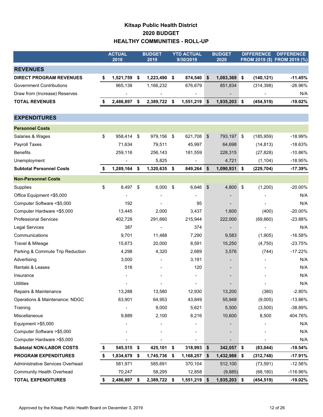### **Kitsap Public Health District 2020 BUDGET HEALTHY COMMUNITIES - ROLL-UP**

|                                  |    | <b>ACTUAL</b><br>2018 |      | <b>BUDGET</b><br>2019    | <b>YTD ACTUAL</b><br>9/30/2019 | <b>BUDGET</b><br>2020 |                             | <b>DIFFERENCE</b> | <b>DIFFERENCE</b><br>FROM 2019 (\$) FROM 2019 (%) |
|----------------------------------|----|-----------------------|------|--------------------------|--------------------------------|-----------------------|-----------------------------|-------------------|---------------------------------------------------|
| <b>REVENUES</b>                  |    |                       |      |                          |                                |                       |                             |                   |                                                   |
| <b>DIRECT PROGRAM REVENUES</b>   | \$ | 1,521,759             | \$   | 1,223,490                | \$<br>874,540                  | \$<br>1,083,369       | \$                          | (140, 121)        | $-11.45%$                                         |
| <b>Government Contributions</b>  |    | 965,138               |      | 1,166,232                | 676,679                        | 851,834               |                             | (314, 398)        | -26.96%                                           |
| Draw from (Increase) Reserves    |    |                       |      |                          |                                |                       |                             |                   | N/A                                               |
| <b>TOTAL REVENUES</b>            |    | 2,486,897             | \$   | 2,389,722 \$             | 1,551,219                      | \$<br>1,935,203       | \$                          | (454, 519)        | $-19.02%$                                         |
|                                  |    |                       |      |                          |                                |                       |                             |                   |                                                   |
| <b>EXPENDITURES</b>              |    |                       |      |                          |                                |                       |                             |                   |                                                   |
| <b>Personnel Costs</b>           |    |                       |      |                          |                                |                       |                             |                   |                                                   |
| Salaries & Wages                 | \$ | 958,414 \$            |      | 979,156 \$               | 621,708                        | \$<br>793,197 \$      |                             | (185, 959)        | $-18.99%$                                         |
| Payroll Taxes                    |    | 71,634                |      | 79,511                   | 45,997                         | 64,698                |                             | (14, 813)         | $-18.63%$                                         |
| <b>Benefits</b>                  |    | 259,116               |      | 256,143                  | 181,559                        | 228,315               |                             | (27, 828)         | $-10.86%$                                         |
| Unemployment                     |    |                       |      | 5,825                    | $\blacksquare$                 | 4,721                 |                             | (1, 104)          | $-18.95%$                                         |
| <b>Subtotal Personnel Costs</b>  | \$ | 1,289,164 \$          |      | 1,320,635 \$             | 849,264                        | \$<br>1,090,931       | \$                          | (229, 704)        | $-17.39%$                                         |
| <b>Non-Personnel Costs</b>       |    |                       |      |                          |                                |                       |                             |                   |                                                   |
| Supplies                         | \$ | 8,497                 | \$   | 6,000                    | \$<br>6,646                    | \$<br>4,800           | $\boldsymbol{\hat{\theta}}$ | (1,200)           | -20.00%                                           |
| Office Equipment <\$5,000        |    |                       |      |                          |                                |                       |                             |                   | N/A                                               |
| Computer Software <\$5,000       |    | 192                   |      |                          | 95                             |                       |                             |                   | N/A                                               |
| Computer Hardware <\$5,000       |    | 13,445                |      | 2,000                    | 3,437                          | 1,600                 |                             | (400)             | $-20.00%$                                         |
| <b>Professional Services</b>     |    | 402,728               |      | 291,660                  | 215,944                        | 222,000               |                             | (69, 660)         | -23.88%                                           |
| <b>Legal Services</b>            |    | 387                   |      |                          | 374                            |                       |                             |                   | N/A                                               |
| Communications                   |    | 9,701                 |      | 11,488                   | 7,290                          | 9,583                 |                             | (1,905)           | $-16.58%$                                         |
| Travel & Mileage                 |    | 15,673                |      | 20,000                   | 8,591                          | 15,250                |                             | (4,750)           | $-23.75%$                                         |
| Parking & Commute Trip Reduction |    | 4,298                 |      | 4,320                    | 2,689                          | 3,576                 |                             | (744)             | $-17.22%$                                         |
| Advertising                      |    | 3,000                 |      | $\overline{\phantom{0}}$ | 3,191                          |                       |                             |                   | N/A                                               |
| Rentals & Leases                 |    | 516                   |      |                          | 120                            |                       |                             |                   | N/A                                               |
| Insurance                        |    |                       |      |                          |                                |                       |                             |                   | N/A                                               |
| <b>Utilities</b>                 |    |                       |      |                          | $\overline{\phantom{a}}$       |                       |                             |                   | N/A                                               |
| Repairs & Maintenance            |    | 13,288                |      | 13,580                   | 12,930                         | 13,200                |                             | (380)             | $-2.80%$                                          |
| Operations & Maintenance: NDGC   |    | 63,901                |      | 64,953                   | 43,849                         | 55,948                |                             | (9,005)           | $-13.86%$                                         |
| Training                         |    |                       |      | 9,000                    | 5,621                          | 5,500                 |                             | (3,500)           | -38.89%                                           |
| Miscellaneous                    |    | 9,889                 |      | 2,100                    | 8,216                          | 10,600                |                             | 8,500             | 404.76%                                           |
| Equipment >\$5,000               |    |                       |      |                          |                                |                       |                             |                   | N/A                                               |
| Computer Software >\$5,000       |    |                       |      |                          |                                |                       |                             |                   | N/A                                               |
| Computer Hardware > \$5,000      |    |                       |      |                          |                                |                       |                             |                   | N/A                                               |
| <b>Subtotal NON-LABOR COSTS</b>  | S  | 545,515               | - \$ | 425,101                  | \$<br>318,993                  | \$<br>342,057         | \$                          | (83, 044)         | $-19.54%$                                         |
| <b>PROGRAM EXPENDITURES</b>      | \$ | 1,834,679             | -\$  | 1,745,736                | \$<br>1,168,257                | \$<br>1,432,988       | \$                          | (312, 748)        | $-17.91%$                                         |
| Administrative Services Overhead |    | 581,971               |      | 585,691                  | 370,104                        | 512,100               |                             | (73, 591)         | $-12.56%$                                         |
| <b>Community Health Overhead</b> |    | 70,247                |      | 58,295                   | 12,858                         | (9,885)               |                             | (68, 180)         | -116.96%                                          |
| <b>TOTAL EXPENDITURES</b>        | \$ | 2,486,897 \$          |      | 2,389,722 \$             | 1,551,219                      | \$<br>1,935,203 \$    |                             | (454, 519)        | $-19.02%$                                         |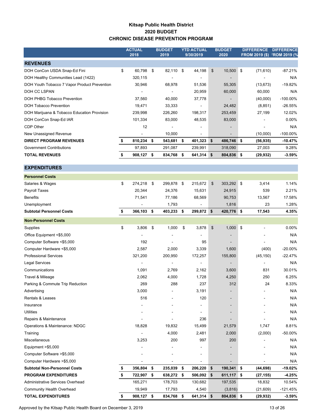### **Kitsap Public Health District 2020 BUDGET CHRONIC DISEASE PREVENTION PROGRAM**

|                                              | <b>ACTUAL</b><br>2018    | <b>BUDGET</b><br>2019 | <b>YTD ACTUAL</b><br>9/30/2019 | <b>BUDGET</b><br>2020    | <b>DIFFERENCE</b><br><b>FROM 2019 (\$)</b> | <b>DIFFERENCE</b><br><b>FROM 2019 (%</b> |
|----------------------------------------------|--------------------------|-----------------------|--------------------------------|--------------------------|--------------------------------------------|------------------------------------------|
| <b>REVENUES</b>                              |                          |                       |                                |                          |                                            |                                          |
| DOH ConCon USDA Snap-Ed Fini                 | \$<br>60,798             | \$<br>82,110          | \$<br>44,198                   | \$<br>10,500             | \$<br>(71, 610)                            | $-87.21%$                                |
| DOH Healthy Communities Lead (1422)          | 320,115                  | $\blacksquare$        | $\overline{\phantom{a}}$       | $\overline{\phantom{a}}$ |                                            | N/A                                      |
| DOH Youth Tobacco 7 Vapor Product Prevention | 30,946                   | 68,978                | 51,536                         | 55,305                   | (13, 673)                                  | $-19.82%$                                |
| DOH CC LSPAN                                 | $\overline{\phantom{a}}$ | ٠                     | 20,959                         | 60,000                   | 60,000                                     | N/A                                      |
| DOH PHBG Tobacco Prevention                  | 37,560                   | 40,000                | 37,778                         | $\overline{\phantom{a}}$ | (40,000)                                   | $-100.00\%$                              |
| DOH Tobacco Prevention                       | 19,471                   | 33,333                | $\overline{\phantom{a}}$       | 24,482                   | (8, 851)                                   | $-26.55%$                                |
| DOH Marijuana & Tobacco Education Provision  | 239,998                  | 226,260               | 198,317                        | 253,459                  | 27,199                                     | 12.02%                                   |
| DOH ConCon Snap-Ed IAR                       | 101,334                  | 83,000                | 48,535                         | 83,000                   |                                            | $0.00\%$                                 |
| CDP Other                                    | 12                       | $\blacksquare$        | $\blacksquare$                 | $\overline{\phantom{0}}$ |                                            | N/A                                      |
| New Unassigned Revenue                       | ۰                        | 10,000                | $\blacksquare$                 | $\overline{\phantom{a}}$ | (10,000)                                   | $-100.00\%$                              |
| <b>DIRECT PROGRAM REVENUES</b>               | 810,234                  | \$<br>543,681         | \$<br>401,323                  | \$<br>486,746            | \$<br>(56, 935)                            | $-10.47%$                                |
| <b>Government Contributions</b>              | 97,893                   | 291,087               | 239,991                        | 318,090                  | 27,003                                     | 9.28%                                    |
| <b>TOTAL REVENUES</b>                        | 908,127                  | \$<br>834,768         | \$<br>641,314                  | \$<br>804,836            | \$<br>(29, 932)                            | $-3.59%$                                 |

#### **EXPENDITURES**

| <b>Personnel Costs</b>                  |                  |               |                              |                  |                 |            |
|-----------------------------------------|------------------|---------------|------------------------------|------------------|-----------------|------------|
| Salaries & Wages                        | \$<br>274,218    | \$<br>299,878 | \$<br>215,672                | \$<br>303,292    | \$<br>3,414     | 1.14%      |
| <b>Payroll Taxes</b>                    | 20,344           | 24,376        | 15,631                       | 24,915           | 539             | 2.21%      |
| <b>Benefits</b>                         | 71,541           | 77,186        | 68,569                       | 90,753           | 13,567          | 17.58%     |
| Unemployment                            | ä,               | 1,793         | $\overline{a}$               | 1,816            | 23              | 1.28%      |
| <b>Subtotal Personnel Costs</b>         | \$<br>366,103    | \$<br>403,233 | \$<br>299,872                | \$<br>420,776 \$ | 17,543          | 4.35%      |
| <b>Non-Personnel Costs</b>              |                  |               |                              |                  |                 |            |
| Supplies                                | \$<br>3,806      | \$<br>1,000   | \$<br>3,878                  | \$<br>1,000      | \$              | 0.00%      |
| Office Equipment <\$5,000               |                  |               |                              |                  |                 | N/A        |
| Computer Software <\$5,000              | 192              |               | 95                           |                  |                 | N/A        |
| Computer Hardware <\$5,000              | 2,587            | 2,000         | 3,339                        | 1,600            | (400)           | $-20.00%$  |
| <b>Professional Services</b>            | 321,200          | 200,950       | 172,257                      | 155,800          | (45, 150)       | $-22.47%$  |
| <b>Legal Services</b>                   |                  |               |                              |                  |                 | N/A        |
| Communications                          | 1,091            | 2,769         | 2,162                        | 3,600            | 831             | 30.01%     |
| Travel & Mileage                        | 2,062            | 4,000         | 1,728                        | 4,250            | 250             | 6.25%      |
| Parking & Commute Trip Reduction        | 269              | 288           | 237                          | 312              | 24              | 8.33%      |
| Advertising                             | 3,000            |               | 3,191                        |                  |                 | N/A        |
| <b>Rentals &amp; Leases</b>             | 516              |               | 120                          |                  |                 | N/A        |
| Insurance                               |                  |               |                              | $\blacksquare$   |                 | N/A        |
| <b>Utilities</b>                        |                  |               | $\qquad \qquad \blacksquare$ |                  |                 | N/A        |
| Repairs & Maintenance                   |                  |               | 236                          |                  |                 | N/A        |
| Operations & Maintenance: NDGC          | 18,828           | 19,832        | 15,499                       | 21,579           | 1,747           | 8.81%      |
| Training                                |                  | 4,000         | 2,481                        | 2,000            | (2,000)         | $-50.00%$  |
| Miscellaneous                           | 3,253            | 200           | 997                          | 200              |                 | N/A        |
| Equipment $> $5,000$                    |                  |               |                              |                  |                 | N/A        |
| Computer Software >\$5,000              |                  |               |                              |                  |                 | N/A        |
| Computer Hardware > \$5,000             |                  |               |                              |                  |                 | N/A        |
| <b>Subtotal Non-Personnel Costs</b>     | \$<br>356,804    | \$<br>235,039 | \$<br>206,220                | \$<br>190,341    | \$<br>(44, 698) | $-19.02%$  |
| <b>PROGRAM EXPENDITURES</b>             | \$<br>722,907 \$ | 638,272       | \$<br>506,092                | \$<br>611,117 \$ | (27, 155)       | $-4.25%$   |
| <b>Administrative Services Overhead</b> | 165,271          | 178,703       | 130,682                      | 197,535          | 18,832          | 10.54%     |
| <b>Community Health Overhead</b>        | 19,949           | 17,793        | 4,540                        | (3,816)          | (21, 609)       | $-121.45%$ |
| <b>TOTAL EXPENDITURES</b>               | \$<br>908,127    | \$<br>834,768 | \$<br>641,314 \$             | 804,836 \$       | (29, 932)       | $-3.59%$   |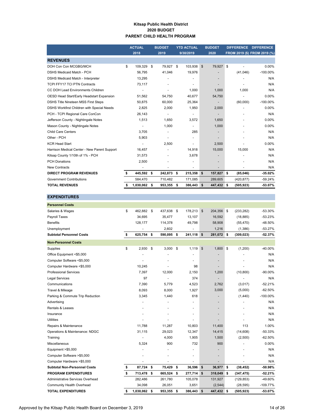#### **Kitsap Public Health District 2020 BUDGET PARENT CHILD HEALTH PROGRAM**

|                                              | <b>ACTUAL</b> |              | <b>BUDGET</b> |            | <b>YTD ACTUAL</b> |                | <b>BUDGET</b>            | <b>DIFFERENCE</b> |            | <b>DIFFERENCE</b>            |
|----------------------------------------------|---------------|--------------|---------------|------------|-------------------|----------------|--------------------------|-------------------|------------|------------------------------|
|                                              |               | 2018         |               | 2019       |                   | 9/30/2019      | 2020                     |                   |            | FROM 2019 (\$) FROM 2019 (%) |
| <b>REVENUES</b>                              |               |              |               |            |                   |                |                          |                   |            |                              |
| DOH Con Con MCGBG/MCH                        | \$            | 109,329 \$   |               | 79,927     | \$                | 103,938        | $\mathsf{\$}$<br>79,927  | S.                |            | 0.00%                        |
| <b>DSHS Medicaid Match - PCH</b>             |               | 56.795       |               | 41,046     |                   | 19,976         |                          |                   | (41,046)   | $-100.00\%$                  |
| DSHS Medicaid Match - Interpreter            |               | 13,295       |               |            |                   | ٠              | $\overline{\phantom{a}}$ |                   |            | N/A                          |
| <b>TCPI FFY17 TCI PTN Contracts</b>          |               | 73.117       |               |            |                   | $\blacksquare$ |                          |                   |            | N/A                          |
| CC DOH Lead Environments Children            |               |              |               |            |                   | 1,000          | 1,000                    |                   | 1,000      | N/A                          |
| OESD Head Start/Early Headstart Expansion    |               | 51,562       |               | 54,750     |                   | 40,677         | 54,750                   |                   |            | 0.00%                        |
| DSHS Title Nineteen MSS First Steps          |               | 50,875       |               | 60,000     |                   | 25,364         |                          |                   | (60,000)   | $-100.00\%$                  |
| DSHS Workfirst Children with Special Needs   |               | 2,825        |               | 2,000      |                   | 1,950          | 2,000                    |                   |            | 0.00%                        |
| PCH - TCPI Regional Care ConCon              |               | 26,143       |               |            |                   |                |                          |                   |            | N/A                          |
| Jefferson County - Nightingale Notes         |               | 1,513        |               | 1,650      |                   | 3,572          | 1,650                    |                   |            | 0.00%                        |
| Mason County - Nightingale Notes             |               |              |               | 1,000      |                   |                | 1,000                    |                   |            | 0.00%                        |
| <b>Child Care Centers</b>                    |               | 3.705        |               |            |                   | 285            |                          |                   |            | N/A                          |
| Other - PCH                                  |               | 5,903        |               |            |                   | ٠              |                          |                   |            | N/A                          |
| <b>KCR Head Start</b>                        |               |              |               | 2,500      |                   | $\blacksquare$ | 2,500                    |                   |            | 0.00%                        |
| Harrison Medical Center - New Parent Support |               | 16,457       |               |            |                   | 14,918         | 15,000                   |                   | 15,000     | N/A                          |
| Kitsap County 1/10th of 1% - PCH             |               | 31,573       |               |            |                   | 3,678          |                          |                   |            | N/A                          |
| <b>PCH Donations</b>                         |               | 2,500        |               |            |                   |                |                          |                   |            | N/A                          |
| <b>New Contracts</b>                         |               |              |               |            |                   | $\blacksquare$ | $\overline{a}$           |                   |            | N/A                          |
| <b>DIRECT PROGRAM REVENUES</b>               | \$            | 445,592 \$   |               | 242,873 \$ |                   | 215,358        | \$<br>157,827            | -S                | (85,046)   | $-35.02%$                    |
| <b>Government Contributions</b>              |               | 584.470      |               | 710,482    |                   | 171,085        | 289,605                  |                   | (420, 877) | $-59.24%$                    |
| <b>TOTAL REVENUES</b>                        |               | 1,030,062 \$ |               | 953,355 \$ |                   | 386,443        | \$<br>447,432 \$         |                   | (505, 923) | $-53.07%$                    |

#### Salaries & Wages \$ 462,882 \$ 437,638 \$ 178,213 \$ 204,356 \$ (233,282) -53.30% Payroll Taxes 34,695 35,477 13,107 16,592 (18,885) -53.23% Benefits 128,177 114,378 49,798 58,908 (55,470) -48.50% Unemployment 1992 - 1,216 (1,386) -53.27% **Subtotal Personnel Costs \$ 625,754 \$ 590,095 \$ 241,118 \$ 281,072 \$ (309,023) -52.37%** Supplies \$ 2,930 \$ 3,000 \$ 1,119 \$ 1,800 \$ (1,200) -40.00% Office Equipment <\$5,000 - - - - N/A - Computer Software <\$5,000 - - - - N/A - Computer Hardware <\$5,000 0 10,245 - 98 - 98 - 10 - N/A Professional Services and the control of the control of the control of the control of the control of the control of the control of the control of the control of the control of the control of the control of the control of t Legal Services 97 - 374 - N/A - Communications 7,390 5,779 4,523 2,762 (3,017) -52.21% Travel & Mileage 62.50% 8,093 8,000 1,927 3,000 5,000 1,5250% Parking & Commute Trip Reduction  $3,345$  1,440 618 - (1,440) -100.00% Advertising and the state of the state of the state of the state of the state of the state of the state of the state of the state of the state of the state of the state of the state of the state of the state of the state o Rentals & Leases - - - - N/A - Insurance and the set of the set of the set of the set of the set of the set of the set of the set of the set o Utilities - - - - N/A - Repairs & Maintenance 11,00% 11,788 11,287 10,803 11,400 113 1.00% Operations & Maintenance: NDGC 31,115 29,023 12,347 14,415 (14,608) -50.33% Training - 4,000 1,905 1,500 (2,500) -62.50% Miscellaneous 5,324 900 732 900 - 0.00% Equipment >\$5,000 N/A Computer Software >\$5,000 - - - - N/A - Computer Hardware >\$5,000 - - - - N/A - **Subtotal Non-Personnel Costs \$ 87,724 \$ 75,429 \$ 36,596 \$ 36,977 \$ (38,452) -50.98% PROGRAM EXPENDITURES \$ 713,478 \$ 665,524 \$ 277,714 \$ 318,049 \$ (347,475) -52.21%** Administrative Services Overhead 282,486 261,780 105,078 131,927 (129,853) -49.60% Community Health Overhead 34,098 26,051 3,651 (2,544) (28,595) -109.77% **TOTAL EXPENDITURES \$ 1,030,062 \$ 953,355 \$ 386,443 \$ 447,432 \$ (505,923) -53.07% Non-Personnel Costs Personnel Costs**

**EXPENDITURES**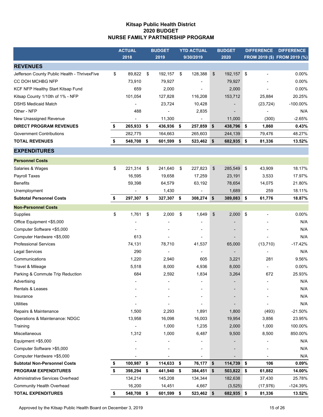### **Kitsap Public Health District 2020 BUDGET NURSE FAMILY PARTNERSHIP PROGRAM**

|                                              | <b>ACTUAL</b>            |    | <b>BUDGET</b>            |    | <b>YTD ACTUAL</b> |    | <b>BUDGET</b> | <b>DIFFERENCE</b> |           | <b>DIFFERENCE</b>            |
|----------------------------------------------|--------------------------|----|--------------------------|----|-------------------|----|---------------|-------------------|-----------|------------------------------|
|                                              | 2018                     |    | 2019                     |    | 9/30/2019         |    | 2020          |                   |           | FROM 2019 (\$) FROM 2019 (%) |
| <b>REVENUES</b>                              |                          |    |                          |    |                   |    |               |                   |           |                              |
| Jefferson County Public Health - ThrivexFive | \$<br>89,822             | \$ | 192,157                  | \$ | 128,388           | \$ | 192,157       | \$                | Ĭ.        | 0.00%                        |
| CC DOH MCHBG NFP                             | 73,910                   |    | 79,927                   |    |                   |    | 79,927        |                   |           | 0.00%                        |
| KCF NFP Healthy Start Kitsap Fund            | 659                      |    | 2,000                    |    |                   |    | 2,000         |                   |           | 0.00%                        |
| Kitsap County 1/10th of 1% - NFP             | 101,054                  |    | 127,828                  |    | 116,208           |    | 153,712       |                   | 25,884    | 20.25%                       |
| <b>DSHS Medicaid Match</b>                   |                          |    | 23,724                   |    | 10,428            |    |               |                   | (23, 724) | $-100.00\%$                  |
| Other - NFP                                  | 488                      |    |                          |    | 2,835             |    |               |                   |           | N/A                          |
| New Unassigned Revenue                       | $\overline{\phantom{a}}$ |    | 11,300                   |    |                   |    | 11,000        |                   | (300)     | $-2.65%$                     |
| <b>DIRECT PROGRAM REVENUES</b>               | \$<br>265,933 \$         |    | 436,936                  | \$ | 257,859           | \$ | 438,796 \$    |                   | 1,860     | 0.43%                        |
| <b>Government Contributions</b>              | 282,775                  |    | 164,663                  |    | 265,603           |    | 244,139       |                   | 79,476    | 48.27%                       |
| <b>TOTAL REVENUES</b>                        | \$<br>548,708 \$         |    | 601,599                  | \$ | 523,462 \$        |    | 682,935       | \$                | 81,336    | 13.52%                       |
| <b>EXPENDITURES</b>                          |                          |    |                          |    |                   |    |               |                   |           |                              |
| <b>Personnel Costs</b>                       |                          |    |                          |    |                   |    |               |                   |           |                              |
| Salaries & Wages                             | \$<br>221,314            | \$ | 241,640                  | \$ | 227,823           | \$ | 285,549       | \$                | 43,909    | 18.17%                       |
| Payroll Taxes                                | 16,595                   |    | 19,658                   |    | 17,259            |    | 23,191        |                   | 3,533     | 17.97%                       |
| <b>Benefits</b>                              | 59,398                   |    | 64,579                   |    | 63,192            |    | 78,654        |                   | 14,075    | 21.80%                       |
| Unemployment                                 |                          |    | 1,430                    |    |                   |    | 1,689         |                   | 259       | 18.11%                       |
| <b>Subtotal Personnel Costs</b>              | \$<br>297,307            | \$ | 327,307                  | \$ | $308,274$ \$      |    | 389,083       | \$                | 61,776    | 18.87%                       |
| <b>Non-Personnel Costs</b>                   |                          |    |                          |    |                   |    |               |                   |           |                              |
| Supplies                                     | \$<br>1,761              | \$ | 2,000                    | \$ | 1,649             | \$ | 2,000         | \$                |           | 0.00%                        |
| Office Equipment <\$5,000                    |                          |    |                          |    |                   |    |               |                   |           | N/A                          |
| Computer Software <\$5,000                   |                          |    |                          |    |                   |    |               |                   |           | N/A                          |
| Computer Hardware <\$5,000                   | 613                      |    |                          |    |                   |    |               |                   |           | N/A                          |
| <b>Professional Services</b>                 | 74,131                   |    | 78,710                   |    | 41,537            |    | 65,000        |                   | (13, 710) | $-17.42%$                    |
| <b>Legal Services</b>                        | 290                      |    |                          |    |                   |    |               |                   |           | N/A                          |
| Communications                               | 1,220                    |    | 2,940                    |    | 605               |    | 3,221         |                   | 281       | 9.56%                        |
| Travel & Mileage                             | 5,518                    |    | 8,000                    |    | 4,936             |    | 8,000         |                   |           | 0.00%                        |
| Parking & Commute Trip Reduction             | 684                      |    | 2,592                    |    | 1,834             |    | 3,264         |                   | 672       | 25.93%                       |
| Advertising                                  | $\overline{\phantom{a}}$ |    | $\overline{\phantom{a}}$ |    |                   |    |               |                   | ٠         | N/A                          |
| Rentals & Leases                             |                          |    |                          |    |                   |    |               |                   |           | N/A                          |
| Insurance                                    |                          |    |                          |    |                   |    |               |                   |           | N/A                          |
| <b>Utilities</b>                             |                          |    |                          |    |                   |    |               |                   |           | N/A                          |
| Repairs & Maintenance                        | 1,500                    |    | 2,293                    |    | 1,891             |    | 1,800         |                   | (493)     | $-21.50%$                    |
| Operations & Maintenance: NDGC               | 13,958                   |    | 16,098                   |    | 16,003            |    | 19,954        |                   | 3,856     | 23.95%                       |
| Training                                     |                          |    | 1,000                    |    | 1,235             |    | 2,000         |                   | 1,000     | 100.00%                      |
| Miscellaneous                                | 1,312                    |    | 1,000                    |    | 6,487             |    | 9,500         |                   | 8,500     | 850.00%                      |
| Equipment >\$5,000                           |                          |    |                          |    |                   |    |               |                   |           | N/A                          |
| Computer Software >\$5,000                   |                          |    |                          |    |                   |    |               |                   |           | N/A                          |
| Computer Hardware > \$5,000                  |                          |    | ٠                        |    |                   |    |               |                   |           | N/A                          |
| <b>Subtotal Non-Personnel Costs</b>          | \$<br>100,987            | \$ | 114,633                  | \$ | 76,177            | \$ | 114,739       | \$                | 106       | 0.09%                        |
| PROGRAM EXPENDITURES                         | \$<br>398,294 \$         |    | 441,940                  | \$ | 384,451           | \$ | 503,822 \$    |                   | 61,882    | 14.00%                       |
| Administrative Services Overhead             | 134,214                  |    | 145,208                  |    | 134,344           |    | 182,638       |                   | 37,430    | 25.78%                       |
| <b>Community Health Overhead</b>             | 16,200                   |    | 14,451                   |    | 4,667             |    | (3, 525)      |                   | (17, 976) | -124.39%                     |
| <b>TOTAL EXPENDITURES</b>                    | \$<br>548,708 \$         |    | 601,599                  | \$ | 523,462 \$        |    | 682,935 \$    |                   | 81,336    | 13.52%                       |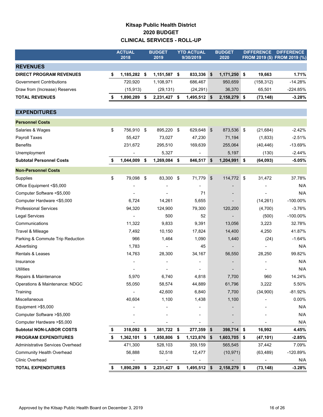### **Kitsap Public Health District 2020 BUDGET CLINICAL SERVICES - ROLL-UP**

|                                  | <b>ACTUAL</b>      | <b>BUDGET</b><br>2019 |                | <b>YTD ACTUAL</b><br>9/30/2019 |              |               | <b>BUDGET</b>  | <b>DIFFERENCE</b><br>FROM 2019 (\$) FROM 2019 (%) |            | <b>DIFFERENCE</b> |
|----------------------------------|--------------------|-----------------------|----------------|--------------------------------|--------------|---------------|----------------|---------------------------------------------------|------------|-------------------|
|                                  | 2018               |                       |                |                                |              |               | 2020           |                                                   |            |                   |
| <b>REVENUES</b>                  |                    |                       |                |                                |              |               |                |                                                   |            |                   |
| <b>DIRECT PROGRAM REVENUES</b>   | \$<br>1,185,282    | -\$                   | $1,151,587$ \$ |                                | 833,336      | \$            | 1,171,250 \$   |                                                   | 19,663     | 1.71%             |
| <b>Government Contributions</b>  | 720,920            |                       | 1,108,971      |                                | 686,467      |               | 950,659        |                                                   | (158, 312) | $-14.28%$         |
| Draw from (Increase) Reserves    | (15, 913)          |                       | (29, 131)      |                                | (24, 291)    |               | 36,370         |                                                   | 65,501     | $-224.85%$        |
| <b>TOTAL REVENUES</b>            | \$<br>1,890,289 \$ |                       | 2,231,427 \$   |                                | 1,495,512 \$ |               | 2,158,279 \$   |                                                   | (73, 148)  | $-3.28%$          |
| <b>EXPENDITURES</b>              |                    |                       |                |                                |              |               |                |                                                   |            |                   |
| <b>Personnel Costs</b>           |                    |                       |                |                                |              |               |                |                                                   |            |                   |
| Salaries & Wages                 | \$<br>756,910      | \$                    | 895,220        | $\mathbf{\hat{s}}$             | 629,648      | $\frac{1}{2}$ | 873,536 \$     |                                                   | (21, 684)  | $-2.42%$          |
| <b>Payroll Taxes</b>             | 55,427             |                       | 73,027         |                                | 47,230       |               | 71,194         |                                                   | (1,833)    | $-2.51%$          |
| <b>Benefits</b>                  | 231,672            |                       | 295,510        |                                | 169,639      |               | 255,064        |                                                   | (40, 446)  | -13.69%           |
| Unemployment                     |                    |                       | 5,327          |                                |              |               | 5,197          |                                                   | (130)      | $-2.44%$          |
| <b>Subtotal Personnel Costs</b>  | \$<br>1,044,009    | -\$                   | 1,269,084 \$   |                                | 846,517      | \$            | 1,204,991 \$   |                                                   | (64, 093)  | $-5.05%$          |
| <b>Non-Personnel Costs</b>       |                    |                       |                |                                |              |               |                |                                                   |            |                   |
| Supplies                         | \$<br>79,098       | \$                    | 83,300         | -\$                            | 71,779       | $\,$          | 114,772 \$     |                                                   | 31,472     | 37.78%            |
| Office Equipment <\$5,000        |                    |                       |                |                                |              |               |                |                                                   |            | N/A               |
| Computer Software <\$5,000       |                    |                       |                |                                | 71           |               |                |                                                   |            | N/A               |
| Computer Hardware <\$5,000       | 6,724              |                       | 14,261         |                                | 5,655        |               |                |                                                   | (14, 261)  | $-100.00\%$       |
| <b>Professional Services</b>     | 94,320             |                       | 124,900        |                                | 79,300       |               | 120,200        |                                                   | (4,700)    | $-3.76%$          |
| <b>Legal Services</b>            | ٠                  |                       | 500            |                                | 52           |               |                |                                                   | (500)      | $-100.00\%$       |
| Communications                   | 11,322             |                       | 9,833          |                                | 9,391        |               | 13,056         |                                                   | 3,223      | 32.78%            |
| Travel & Mileage                 | 7,492              |                       | 10,150         |                                | 17,824       |               | 14,400         |                                                   | 4,250      | 41.87%            |
| Parking & Commute Trip Reduction | 966                |                       | 1,464          |                                | 1,090        |               | 1,440          |                                                   | (24)       | $-1.64%$          |
| Advertising                      | 1,783              |                       |                |                                | 45           |               |                |                                                   |            | N/A               |
| Rentals & Leases                 | 14,763             |                       | 28,300         |                                | 34,167       |               | 56,550         |                                                   | 28,250     | 99.82%            |
| Insurance                        |                    |                       |                |                                |              |               |                |                                                   |            | N/A               |
| <b>Utilities</b>                 |                    |                       |                |                                |              |               |                |                                                   |            | N/A               |
| Repairs & Maintenance            | 5,970              |                       | 6,740          |                                | 4,818        |               | 7,700          |                                                   | 960        | 14.24%            |
| Operations & Maintenance: NDGC   | 55,050             |                       | 58,574         |                                | 44,889       |               | 61,796         |                                                   | 3,222      | 5.50%             |
| Training                         |                    |                       | 42,600         |                                | 6,840        |               | 7,700          |                                                   | (34,900)   | -81.92%           |
| Miscellaneous                    | 40,604             |                       | 1,100          |                                | 1,438        |               | 1,100          |                                                   |            | 0.00%             |
| Equipment >\$5,000               |                    |                       |                |                                |              |               |                |                                                   |            | N/A               |
| Computer Software > \$5,000      |                    |                       |                |                                |              |               |                |                                                   |            | N/A               |
| Computer Hardware >\$5,000       |                    |                       |                |                                |              |               |                |                                                   |            | N/A               |
| <b>Subtotal NON-LABOR COSTS</b>  | 318,092            | \$                    | 381,722 \$     |                                | 277,359      | \$            | 398,714 \$     |                                                   | 16,992     | 4.45%             |
| <b>PROGRAM EXPENDITURES</b>      | \$<br>1,362,101    | \$                    | 1,650,806 \$   |                                | 1,123,876    | \$            | $1,603,705$ \$ |                                                   | (47, 101)  | $-2.85%$          |
| Administrative Services Overhead | 471,300            |                       | 528,103        |                                | 359,159      |               | 565,545        |                                                   | 37,442     | 7.09%             |
| <b>Community Health Overhead</b> | 56,888             |                       | 52,518         |                                | 12,477       |               | (10, 971)      |                                                   | (63, 489)  | -120.89%          |
| Clinic Overhead                  |                    |                       |                |                                |              |               |                |                                                   |            | N/A               |
| <b>TOTAL EXPENDITURES</b>        | 1,890,289          | \$                    | 2,231,427 \$   |                                | 1,495,512 \$ |               | 2,158,279 \$   |                                                   | (73, 148)  | $-3.28%$          |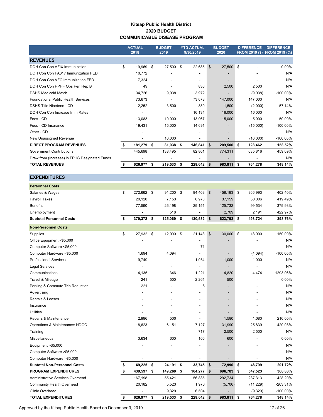#### **Kitsap Public Health District 2020 BUDGET COMMUNICABLE DISEASE PROGRAM**

|                                               | <b>ACTUAL</b><br>2018    |    | <b>BUDGET</b><br>2019    |    | <b>YTD ACTUAL</b><br>9/30/2019 | <b>BUDGET</b><br>2020    |    | <b>DIFFERENCE</b><br><b>FROM 2019 (\$)</b> | <b>DIFFERENCE</b><br>FROM 2019 (%) |
|-----------------------------------------------|--------------------------|----|--------------------------|----|--------------------------------|--------------------------|----|--------------------------------------------|------------------------------------|
| <b>REVENUES</b>                               |                          |    |                          |    |                                |                          |    |                                            |                                    |
| DOH Con Con AFIX Immunization                 | \$<br>19,969             | \$ | 27,500                   | \$ | 22,685                         | \$<br>27,500             | \$ |                                            | 0.00%                              |
| DOH Con Con FA317 Immunization FED            | 10,772                   |    |                          |    | $\blacksquare$                 |                          |    |                                            | N/A                                |
| DOH Con Con VFC Immunization FED              | 7,324                    |    | $\blacksquare$           |    |                                |                          |    |                                            | N/A                                |
| DOH Con Con PPHF Ops Peri Hep B               | 49                       |    |                          |    | 830                            | 2,500                    |    | 2,500                                      | N/A                                |
| <b>DSHS Medicaid Match</b>                    | 34,726                   |    | 9,038                    |    | 3,972                          |                          |    | (9,038)                                    | $-100.00\%$                        |
| <b>Foundational Public Health Services</b>    | 73,673                   |    |                          |    | 73,673                         | 147,000                  |    | 147,000                                    | N/A                                |
| DSHS Title Nineteen - CD                      | 2,252                    |    | 3,500                    |    | 889                            | 1,500                    |    | (2,000)                                    | $-57.14%$                          |
| DOH Con Con Increase Imm Rates                |                          |    |                          |    | 16,134                         | 16,000                   |    | 16,000                                     | N/A                                |
| Fees - CD                                     | 13,083                   |    | 10,000                   |    | 13,967                         | 15,000                   |    | 5,000                                      | 50.00%                             |
| Fees - CD Insurance                           | 19,431                   |    | 15,000                   |    | 14,691                         | $\overline{\phantom{a}}$ |    | (15,000)                                   | $-100.00\%$                        |
| Other - CD                                    | $\overline{\phantom{0}}$ |    |                          |    | $\overline{\phantom{a}}$       | $\overline{\phantom{a}}$ |    |                                            | N/A                                |
| New Unassigned Revenue                        |                          |    | 16,000                   |    | $\overline{\phantom{a}}$       |                          |    | (16,000)                                   | $-100.00\%$                        |
| <b>DIRECT PROGRAM REVENUES</b>                | 181,279                  | \$ | 81,038                   | S  | 146,841                        | \$<br>209,500            | \$ | 128,462                                    | 158.52%                            |
| <b>Government Contributions</b>               | 445,698                  |    | 138,495                  |    | 82,801                         | 774,311                  |    | 635,816                                    | 459.09%                            |
| Draw from (Increase) in FPHS Designated Funds | $\overline{\phantom{a}}$ |    | $\overline{\phantom{a}}$ |    | $\overline{\phantom{a}}$       | $\overline{\phantom{a}}$ |    |                                            | N/A                                |
| <b>TOTAL REVENUES</b>                         | 626,977                  | s  | 219,533                  | s  | 229,642                        | \$<br>983,811            | s  | 764,278                                    | 348.14%                            |

#### **EXPENDITURES**

| <b>Personnel Costs</b>              |                  |                |               |                  |               |             |
|-------------------------------------|------------------|----------------|---------------|------------------|---------------|-------------|
| Salaries & Wages                    | \$<br>272,662 \$ | 91,200         | \$<br>94,408  | \$<br>458,193    | \$<br>366,993 | 402.40%     |
| Payroll Taxes                       | 20,120           | 7,153          | 6,973         | 37,159           | 30,006        | 419.49%     |
| <b>Benefits</b>                     | 77,590           | 26,198         | 29,151        | 125,732          | 99,534        | 379.93%     |
| Unemployment                        |                  | 518            |               | 2,709            | 2,191         | 422.97%     |
| <b>Subtotal Personnel Costs</b>     | \$<br>370,372 \$ | 125,069        | \$<br>130,532 | \$<br>623,793 \$ | 498,724       | 398.76%     |
| <b>Non-Personnel Costs</b>          |                  |                |               |                  |               |             |
| Supplies                            | \$<br>27,932     | \$<br>12,000   | \$<br>21,148  | \$<br>30,000     | \$<br>18,000  | 150.00%     |
| Office Equipment <\$5,000           |                  |                |               |                  |               | N/A         |
| Computer Software <\$5,000          |                  | ٠              | 71            |                  | ÷,            | N/A         |
| Computer Hardware <\$5,000          | 1,694            | 4,094          |               |                  | (4,094)       | $-100.00\%$ |
| <b>Professional Services</b>        | 9,749            | $\blacksquare$ | 1,034         | 1,000            | 1,000         | N/A         |
| <b>Legal Services</b>               |                  |                |               |                  |               | N/A         |
| Communications                      | 4,135            | 346            | 1,221         | 4,820            | 4,474         | 1293.06%    |
| Travel & Mileage                    | 241              | 500            | 2,261         | 500              |               | 0.00%       |
| Parking & Commute Trip Reduction    | 221              |                | 6             |                  |               | N/A         |
| Advertising                         |                  |                |               |                  |               | N/A         |
| Rentals & Leases                    |                  |                |               |                  |               | N/A         |
| Insurance                           |                  |                |               |                  |               | N/A         |
| <b>Utilities</b>                    |                  |                |               |                  |               | N/A         |
| Repairs & Maintenance               | 2,996            | 500            |               | 1,580            | 1,080         | 216.00%     |
| Operations & Maintenance: NDGC      | 18,623           | 6,151          | 7,127         | 31,990           | 25,839        | 420.08%     |
| Training                            |                  |                | 717           | 2,500            | 2,500         | N/A         |
| Miscellaneous                       | 3,634            | 600            | 160           | 600              |               | 0.00%       |
| Equipment >\$5,000                  |                  |                |               |                  |               | N/A         |
| Computer Software >\$5,000          |                  |                |               |                  |               | N/A         |
| Computer Hardware >\$5,000          |                  |                |               |                  |               | N/A         |
| <b>Subtotal Non-Personnel Costs</b> | \$<br>69,225     | \$<br>24,191   | \$<br>33,745  | \$<br>72,990     | \$<br>48,799  | 201.72%     |
| <b>PROGRAM EXPENDITURES</b>         | \$<br>439,597    | \$<br>149,260  | \$<br>164,277 | \$<br>696,783    | \$<br>547,523 | 366.83%     |
| Administrative Services Overhead    | 167,198          | 55,421         | 56,885        | 292,734          | 237,313       | 428.20%     |
| <b>Community Health Overhead</b>    | 20,182           | 5,523          | 1,976         | (5,706)          | (11, 229)     | $-203.31%$  |
| <b>Clinic Overhead</b>              |                  | 9,329          | 6,504         |                  | (9,329)       | $-100.00\%$ |
| <b>TOTAL EXPENDITURES</b>           | \$<br>626,977    | \$<br>219,533  | \$<br>229,642 | \$<br>983,811    | \$<br>764,278 | 348.14%     |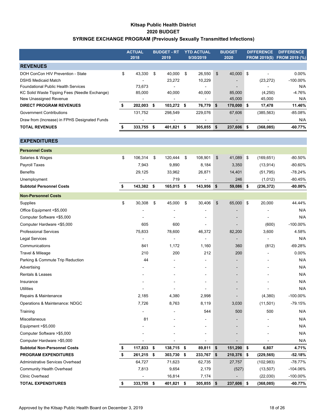### **Kitsap Public Health District 2020 BUDGET SYRINGE EXCHANGE PROGRAM (Previously Sexually Transmitted Infections)**

|                                               | <b>ACTUAL</b> |                          | <b>BUDGET - RT</b> |                              | <b>YTD ACTUAL</b> | <b>BUDGET</b>    | <b>DIFFERENCE</b>        | <b>DIFFERENCE</b>           |
|-----------------------------------------------|---------------|--------------------------|--------------------|------------------------------|-------------------|------------------|--------------------------|-----------------------------|
|                                               |               | 2018                     |                    | 2019                         | 9/30/2019         | 2020             |                          | FROM 2019(\$) FROM 2019 (%) |
| <b>REVENUES</b>                               |               |                          |                    |                              |                   |                  |                          |                             |
| DOH ConCon HIV Prevention - State             | \$            | 43,330                   | \$                 | 40,000                       | \$<br>26,550      | \$<br>40,000     | \$                       | $0.00\%$                    |
| <b>DSHS Medicaid Match</b>                    |               |                          |                    | 23,272                       | 10,229            |                  | (23, 272)                | $-100.00\%$                 |
| <b>Foundational Public Health Services</b>    |               | 73,673                   |                    |                              |                   |                  |                          | N/A                         |
| KC Solid Waste Tipping Fees (Needle Exchange) |               | 85,000                   |                    | 40,000                       | 40,000            | 85,000           | (4, 250)                 | $-4.76%$                    |
| New Unassigned Revenue                        |               |                          |                    |                              |                   | 45,000           | 45,000                   | N/A                         |
| <b>DIRECT PROGRAM REVENUES</b>                | \$            | 202,003 \$               |                    | 103,272 \$                   | 76,779            | \$<br>170,000    | \$<br>17,478             | 11.46%                      |
| <b>Government Contributions</b>               |               | 131,752                  |                    | 298,549                      | 229,076           | 67,606           | (385, 563)               | $-85.08%$                   |
| Draw from (Increase) in FPHS Designated Funds |               |                          |                    |                              | -                 |                  |                          | N/A                         |
| <b>TOTAL REVENUES</b>                         | \$            | 333,755                  | \$                 | 401,821                      | \$<br>305,855     | \$<br>237,606    | \$<br>(368, 085)         | -60.77%                     |
| <b>EXPENDITURES</b>                           |               |                          |                    |                              |                   |                  |                          |                             |
| <b>Personnel Costs</b>                        |               |                          |                    |                              |                   |                  |                          |                             |
| Salaries & Wages                              | \$            | 106,314                  | \$                 | 120,444                      | \$<br>108,901     | \$<br>41,089     | \$<br>(169, 651)         | $-80.50%$                   |
| Payroll Taxes                                 |               | 7,943                    |                    | 9,890                        | 8,184             | 3,350            | (13, 914)                | $-80.60%$                   |
| <b>Benefits</b>                               |               | 29,125                   |                    | 33,962                       | 26,871            | 14,401           | (51, 795)                | $-78.24%$                   |
| Unemployment                                  |               |                          |                    | 719                          |                   | 246              | (1,012)                  | $-80.45%$                   |
| <b>Subtotal Personnel Costs</b>               | \$            | 143,382                  | \$                 | 165,015                      | \$<br>143,956     | \$<br>59,086     | \$<br>(236, 372)         | $-80.00%$                   |
| <b>Non-Personnel Costs</b>                    |               |                          |                    |                              |                   |                  |                          |                             |
| Supplies                                      | \$            | 30,308                   | \$                 | 45,000                       | \$<br>30,406      | \$<br>65,000     | \$<br>20,000             | 44.44%                      |
| Office Equipment <\$5,000                     |               |                          |                    |                              |                   |                  |                          | N/A                         |
| Computer Software <\$5,000                    |               |                          |                    |                              | $\overline{a}$    |                  | $\overline{\phantom{a}}$ | N/A                         |
| Computer Hardware <\$5,000                    |               | 605                      |                    | 600                          | ä,                |                  | (600)                    | $-100.00\%$                 |
| <b>Professional Services</b>                  |               | 75,833                   |                    | 78,600                       | 46,372            | 82,200           | 3,600                    | 4.58%                       |
| <b>Legal Services</b>                         |               | $\overline{\phantom{a}}$ |                    |                              |                   | $\blacksquare$   | $\blacksquare$           | N/A                         |
| Communications                                |               | 841                      |                    | 1,172                        | 1,160             | 360              | (812)                    | $-69.28%$                   |
| Travel & Mileage                              |               | 210                      |                    | 200                          | 212               | 200              |                          | $0.00\%$                    |
| Parking & Commute Trip Reduction              |               | 44                       |                    |                              |                   |                  |                          | N/A                         |
| Advertising                                   |               |                          |                    |                              |                   |                  |                          | N/A                         |
| <b>Rentals &amp; Leases</b>                   |               |                          |                    |                              |                   |                  |                          | N/A                         |
| Insurance                                     |               |                          |                    |                              |                   |                  |                          | N/A                         |
| Utilities                                     |               | $\overline{\phantom{0}}$ |                    | $\qquad \qquad \blacksquare$ | -                 |                  | $\overline{a}$           | N/A                         |
| Repairs & Maintenance                         |               | 2,185                    |                    | 4,380                        | 2,998             |                  | (4,380)                  | $-100.00\%$                 |
| Operations & Maintenance: NDGC                |               | 7,726                    |                    | 8,763                        | 8,119             | 3,030            | (11,501)                 | $-79.15%$                   |
| Training                                      |               |                          |                    |                              | 544               | 500              | 500                      | N/A                         |
| Miscellaneous                                 |               | 81                       |                    |                              |                   |                  |                          | N/A                         |
| Equipment >\$5,000                            |               |                          |                    |                              |                   |                  |                          | N/A                         |
| Computer Software > \$5,000                   |               |                          |                    |                              |                   |                  |                          | N/A                         |
| Computer Hardware >\$5,000                    |               |                          |                    |                              |                   |                  |                          | N/A                         |
| <b>Subtotal Non-Personnel Costs</b>           |               | 117,833                  | \$                 | 138,715                      | \$<br>89,811      | \$<br>151,290    | \$<br>6,807              | 4.71%                       |
| <b>PROGRAM EXPENDITURES</b>                   | \$            | 261,215                  | \$                 | 303,730                      | \$<br>233,767     | \$<br>210,376    | \$<br>(229, 565)         | $-52.18%$                   |
| Administrative Services Overhead              |               | 64,727                   |                    | 71,623                       | 62,735            | 27,757           | (102, 983)               | $-78.77%$                   |
| <b>Community Health Overhead</b>              |               | 7,813                    |                    | 9,654                        | 2,179             | (527)            | (13, 507)                | $-104.06%$                  |
| Clinic Overhead                               |               |                          |                    | 16,814                       | 7,174             |                  | (22,030)                 | $-100.00\%$                 |
| <b>TOTAL EXPENDITURES</b>                     | \$            | 333,755 \$               |                    | 401,821 \$                   | 305,855           | \$<br>237,606 \$ | (368, 085)               | $-60.77%$                   |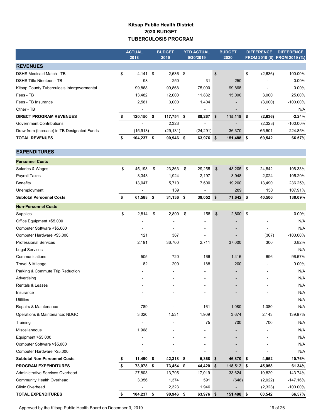### **Kitsap Public Health District 2020 BUDGET TUBERCULOSIS PROGRAM**

|                                             | <b>ACTUAL</b><br>2018 | <b>BUDGET</b><br>2019           | <b>YTD ACTUAL</b><br>9/30/2019 | <b>BUDGET</b><br>2020 | <b>DIFFERENCE</b> | <b>DIFFERENCE</b><br>FROM 2019 (\$) FROM 2019 (%) |
|---------------------------------------------|-----------------------|---------------------------------|--------------------------------|-----------------------|-------------------|---------------------------------------------------|
| <b>REVENUES</b>                             |                       |                                 |                                |                       |                   |                                                   |
| <b>DSHS Medicaid Match - TB</b>             | \$<br>4,141           | \$<br>2,636                     | \$<br>÷,                       | \$<br>$\overline{a}$  | \$<br>(2,636)     | $-100.00\%$                                       |
| <b>DSHS Title Nineteen - TB</b>             | 98                    | 250                             | 31                             | 250                   |                   | 0.00%                                             |
| Kitsap County Tuberculosis Intergovermental | 99,868                | 99,868                          | 75,000                         | 99,868                | $\blacksquare$    | 0.00%                                             |
| Fees - TB                                   | 13,482                | 12,000                          | 11,832                         | 15,000                | 3,000             | 25.00%                                            |
| Fees - TB Insurance                         | 2,561                 | 3,000                           | 1,404                          |                       | (3,000)           | $-100.00\%$                                       |
| Other - TB                                  |                       |                                 |                                |                       | $\blacksquare$    | N/A                                               |
| <b>DIRECT PROGRAM REVENUES</b>              | \$<br>120,150         | \$<br>117,754                   | \$<br>88,267                   | \$<br>115,118         | \$<br>(2,636)     | $-2.24%$                                          |
| <b>Government Contributions</b>             |                       | 2,323                           | $\overline{a}$                 |                       | (2, 323)          | $-100.00\%$                                       |
| Draw from (Increase) in TB Designated Funds | (15, 913)             | (29, 131)                       | (24, 291)                      | 36,370                | 65,501            | $-224.85%$                                        |
| <b>TOTAL REVENUES</b>                       | \$<br>104,237         | \$<br>90,946                    | \$<br>63,976 \$                | 151,488               | \$<br>60,542      | 66.57%                                            |
| <b>EXPENDITURES</b>                         |                       |                                 |                                |                       |                   |                                                   |
| <b>Personnel Costs</b>                      |                       |                                 |                                |                       |                   |                                                   |
| Salaries & Wages                            | \$<br>45,198          | \$<br>23,363                    | \$<br>29,255                   | \$<br>48,205          | \$<br>24,842      | 106.33%                                           |
| Payroll Taxes                               | 3,343                 | 1,924                           | 2,197                          | 3,948                 | 2,024             | 105.20%                                           |
| <b>Benefits</b>                             | 13,047                | 5,710                           | 7,600                          | 19,200                | 13,490            | 236.25%                                           |
| Unemployment                                |                       | 139                             |                                | 289                   | 150               | 107.91%                                           |
| <b>Subtotal Personnel Costs</b>             | \$<br>61,588          | \$<br>31,136                    | \$<br>39,052 \$                | 71,642 \$             | 40,506            | 130.09%                                           |
| <b>Non-Personnel Costs</b>                  |                       |                                 |                                |                       |                   |                                                   |
|                                             | \$<br>2,814           | \$<br>2,800                     | \$<br>158                      | 2,800                 | \$                | 0.00%                                             |
| Supplies<br>Office Equipment <\$5,000       |                       |                                 |                                | \$                    |                   | N/A                                               |
| Computer Software <\$5,000                  |                       | $\overline{\phantom{a}}$        |                                |                       |                   | N/A                                               |
| Computer Hardware <\$5,000                  | 121                   | 367                             |                                |                       | (367)             | $-100.00\%$                                       |
|                                             | 2,191                 |                                 |                                |                       | 300               | 0.82%                                             |
| <b>Professional Services</b>                | $\overline{a}$        | 36,700                          | 2,711                          | 37,000                | $\blacksquare$    | N/A                                               |
| <b>Legal Services</b><br>Communications     | 505                   | $\overline{\phantom{a}}$<br>720 | 166                            | 1,416                 | 696               | 96.67%                                            |
| Travel & Mileage                            | 82                    | 200                             | 188                            | 200                   |                   | 0.00%                                             |
| Parking & Commute Trip Reduction            |                       |                                 |                                |                       |                   | N/A                                               |
| Advertising                                 |                       |                                 |                                |                       |                   | N/A                                               |
| Rentals & Leases                            |                       |                                 |                                |                       |                   | N/A                                               |
| Insurance                                   |                       |                                 |                                |                       |                   | N/A                                               |
| <b>Utilities</b>                            |                       |                                 |                                |                       |                   | N/A                                               |
| Repairs & Maintenance                       | 789                   |                                 | 161                            | 1,080                 | 1,080             | N/A                                               |
| Operations & Maintenance: NDGC              | 3,020                 | 1,531                           | 1,909                          | 3,674                 | 2,143             | 139.97%                                           |
| Training                                    |                       |                                 | 75                             | 700                   | 700               | N/A                                               |
|                                             |                       |                                 |                                |                       |                   |                                                   |
| Miscellaneous                               | 1,968                 |                                 |                                |                       |                   | N/A                                               |
| Equipment >\$5,000                          |                       |                                 |                                |                       |                   | N/A                                               |
| Computer Software >\$5,000                  |                       |                                 |                                |                       |                   | N/A                                               |
| Computer Hardware >\$5,000                  |                       |                                 |                                |                       |                   | N/A                                               |
| <b>Subtotal Non-Personnel Costs</b>         | \$<br>11,490          | \$<br>42,318                    | \$<br>5,368                    | \$<br>46,870          | \$<br>4,552       | 10.76%                                            |
| <b>PROGRAM EXPENDITURES</b>                 | \$<br>73,078          | \$<br>73,454                    | \$<br>44,420                   | \$<br>118,512 \$      | 45,058            | 61.34%                                            |
| Administrative Services Overhead            | 27,803                | 13,795                          | 17,019                         | 33,624                | 19,829            | 143.74%                                           |

Community Health Overhead **3,356** 1,374 591 (648) (2,022) -147.16% Clinic Overhead 2,323 1,946 1,946 (2,323) 100.00% **TOTAL EXPENDITURES \$ 104,237 \$ 90,946 \$ 63,976 \$ 151,488 \$ 60,542 66.57%**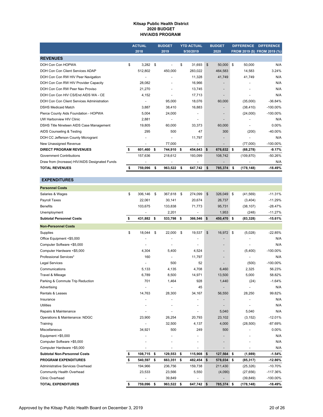#### **Kitsap Public Health District 2020 BUDGET HIV/AIDS PROGRAM**

|                                                | <b>ACTUAL</b><br>2018 |      | <b>BUDGET</b><br>2019 |    | <b>YTD ACTUAL</b><br>9/30/2019 |                | <b>BUDGET</b><br>2020    |          | <b>DIFFERENCE</b> | <b>DIFFERENCE</b>            |
|------------------------------------------------|-----------------------|------|-----------------------|----|--------------------------------|----------------|--------------------------|----------|-------------------|------------------------------|
|                                                |                       |      |                       |    |                                |                |                          |          |                   | FROM 2019 (\$) FROM 2019 (%) |
| <b>REVENUES</b>                                |                       |      |                       |    |                                |                |                          |          |                   |                              |
| DOH Con Con HOPWA                              | \$<br>3,282           | - \$ |                       | \$ | 31.693                         | $\mathfrak{S}$ | 50,000                   | <b>S</b> | 50,000            | N/A                          |
| DOH Con Con Client Services ADAP               | 512,802               |      | 450.000               |    | 283.022                        |                | 464,583                  |          | 14,583            | 3.24%                        |
| DOH Con Con RW HIV Peer Navigation             |                       |      |                       |    | 11,328                         |                | 41,749                   |          | 41,749            | N/A                          |
| DOH Con Con RW HIV Provider Capacity           | 28,082                |      |                       |    | 16,966                         |                |                          |          |                   | N/A                          |
| DOH Con Con RW Peer Nav Proviso                | 21,270                |      |                       |    | 13,745                         |                | $\overline{\phantom{a}}$ |          |                   | N/A                          |
| DOH Con Con HIV CS/End AIDS WA - CE            | 4,152                 |      |                       |    | 17,713                         |                |                          |          |                   | N/A                          |
| DOH Con Con Client Services Administration     |                       |      | 95.000                |    | 18,076                         |                | 60,000                   |          | (35,000)          | $-36.84%$                    |
| <b>DSHS Medicaid Match</b>                     | 3,887                 |      | 38,410                |    | 16,883                         |                |                          |          | (38, 410)         | $-100.00\%$                  |
| Pierce County Aids Foundation - HOPWA          | 5,004                 |      | 24,000                |    |                                |                |                          |          | (24,000)          | $-100.00\%$                  |
| UW Harborview HIV Clinic                       | 2,881                 |      | $\blacksquare$        |    | $\overline{\phantom{0}}$       |                |                          |          |                   | N/A                          |
| DSHS Title Nineteen AIDS Case Management       | 19,805                |      | 60,000                |    | 33,373                         |                | 60,000                   |          |                   | 0.00%                        |
| AIDS Counseling & Testing                      | 295                   |      | 500                   |    | 47                             |                | 300                      |          | (200)             | $-40.00%$                    |
| DOH CC Jefferson County Microgrant             |                       |      |                       |    | 11,797                         |                |                          |          |                   | N/A                          |
| New Unassigned Revenue                         |                       |      | 77.000                |    | ۰                              |                |                          |          | (77,000)          | $-100.00\%$                  |
| <b>DIRECT PROGRAM REVENUES</b>                 | 601,460               | - \$ | 744,910 \$            |    | 454,643 \$                     |                | 676,632 \$               |          | (68, 278)         | $-9.17%$                     |
| <b>Government Contributions</b>                | 157,636               |      | 218,612               |    | 193,099                        |                | 108,742                  |          | (109, 870)        | $-50.26%$                    |
| Draw from (Increase) HIV/AIDS Designated Funds |                       |      |                       |    |                                |                |                          |          |                   | N/A                          |
| <b>TOTAL REVENUES</b>                          | 759,096               |      | 963,522               | s  | 647,742                        | \$             | 785,374                  | S.       | (178, 148)        | $-18.49%$                    |

| <b>EXPENDITURES</b>                 |                          |    |         |                              |                |            |          |            |             |
|-------------------------------------|--------------------------|----|---------|------------------------------|----------------|------------|----------|------------|-------------|
| <b>Personnel Costs</b>              |                          |    |         |                              |                |            |          |            |             |
| Salaries & Wages                    | \$<br>306,146            | \$ | 367,618 | \$<br>274,099                | $\mathfrak{S}$ | 326,049    | ∣\$      | (41, 569)  | $-11.31%$   |
| Payroll Taxes                       | 22,061                   |    | 30,141  | 20,674                       |                | 26,737     |          | (3,404)    | $-11.29%$   |
| <b>Benefits</b>                     | 103,675                  |    | 133,838 | 71,773                       |                | 95,731     |          | (38, 107)  | $-28.47%$   |
| Unemployment                        | $\overline{\phantom{a}}$ |    | 2,201   | $\qquad \qquad \blacksquare$ |                | 1,953      |          | (248)      | $-11.27%$   |
| <b>Subtotal Personnel Costs</b>     | \$<br>431,882            | \$ | 533,798 | \$<br>366,546                | \$             | 450,470    | <b>S</b> | (83, 328)  | $-15.61%$   |
| <b>Non-Personnel Costs</b>          |                          |    |         |                              |                |            |          |            |             |
| Supplies                            | \$<br>18,044             | \$ | 22,000  | \$<br>19,537                 | \$             | 16,972     | <b>S</b> | (5,028)    | $-22.85%$   |
| Office Equipment <\$5,000           |                          |    |         |                              |                |            |          |            | N/A         |
| Computer Software <\$5,000          | $\overline{\phantom{a}}$ |    | ٠       | ٠                            |                |            |          | ÷          | N/A         |
| Computer Hardware <\$5,000          | 4,304                    |    | 5,400   | 4,524                        |                |            |          | (5,400)    | $-100.00\%$ |
| Professional Services*              | 160                      |    |         | 11,797                       |                |            |          |            | N/A         |
| Legal Services                      | $\blacksquare$           |    | 500     | 52                           |                |            |          | (500)      | $-100.00\%$ |
| Communications                      | 5,133                    |    | 4,135   | 4,708                        |                | 6,460      |          | 2,325      | 56.23%      |
| Travel & Mileage                    | 6,789                    |    | 8,500   | 14,971                       |                | 13,500     |          | 5,000      | 58.82%      |
| Parking & Commute Trip Reduction    | 701                      |    | 1,464   | 928                          |                | 1,440      |          | (24)       | $-1.64%$    |
| Advertising                         |                          |    |         | 45                           |                |            |          |            | N/A         |
| Rentals & Leases                    | 14,763                   |    | 28,300  | 34,167                       |                | 56,550     |          | 28,250     | 99.82%      |
| Insurance                           |                          |    |         |                              |                |            |          |            | N/A         |
| <b>Utilities</b>                    |                          |    |         |                              |                |            |          |            | N/A         |
| Repairs & Maintenance               |                          |    |         |                              |                | 5,040      |          | 5,040      | N/A         |
| Operations & Maintenance: NDGC      | 23,900                   |    | 26,254  | 20,793                       |                | 23,102     |          | (3, 152)   | $-12.01%$   |
| Training                            |                          |    | 32,500  | 4,137                        |                | 4,000      |          | (28, 500)  | -87.69%     |
| Miscellaneous                       | 34,921                   |    | 500     | 249                          |                | 500        |          |            | 0.00%       |
| Equipment >\$5,000                  |                          |    | ÷       |                              |                |            |          |            | N/A         |
| Computer Software >\$5,000          |                          |    |         |                              |                |            |          |            | N/A         |
| Computer Hardware >\$5,000          |                          |    |         |                              |                |            |          |            | N/A         |
| <b>Subtotal Non-Personnel Costs</b> | \$<br>108,715            | \$ | 129,553 | \$<br>115,908                | \$             | 127,564    | ∣\$      | (1,989)    | $-1.54%$    |
| <b>PROGRAM EXPENDITURES</b>         | \$<br>540,597            | s. | 663,351 | \$<br>482,454                | \$             | 578,034    | <b>S</b> | (85, 317)  | $-12.86%$   |
| Administrative Services Overhead    | 194,966                  |    | 236,756 | 159,738                      |                | 211,430    |          | (25, 326)  | $-10.70%$   |
| <b>Community Health Overhead</b>    | 23,533                   |    | 23,566  | 5,550                        |                | (4,090)    |          | (27, 656)  | $-117.36%$  |
| Clinic Overhead                     |                          |    | 39,849  |                              |                |            |          | (39, 849)  | $-100.00\%$ |
| <b>TOTAL EXPENDITURES</b>           | \$<br>759,096            | \$ | 963,522 | \$<br>647,742 \$             |                | 785,374 \$ |          | (178, 148) | $-18.49%$   |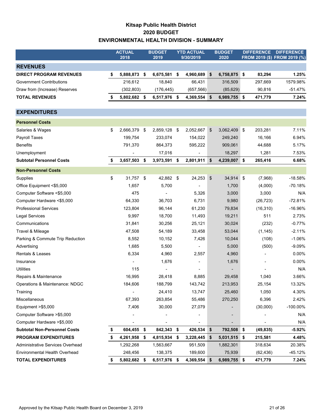### **Kitsap Public Health District 2020 BUDGET ENVIRONMENTAL HEALTH DIVISION - SUMMARY**

|                                     |    | <b>ACTUAL</b><br>2018 | <b>BUDGET</b><br>2019 |     | <b>YTD ACTUAL</b><br>9/30/2019 | <b>BUDGET</b><br>2020 | <b>DIFFERENCE</b><br>FROM 2019 (\$) FROM 2019 (%) |           | <b>DIFFERENCE</b> |
|-------------------------------------|----|-----------------------|-----------------------|-----|--------------------------------|-----------------------|---------------------------------------------------|-----------|-------------------|
| <b>REVENUES</b>                     |    |                       |                       |     |                                |                       |                                                   |           |                   |
| <b>DIRECT PROGRAM REVENUES</b>      | \$ | 5,888,873             | \$<br>6,675,581       | -\$ | 4,960,689                      | \$<br>6,758,875 \$    |                                                   | 83,294    | 1.25%             |
| <b>Government Contributions</b>     |    | 216,612               | 18,840                |     | 66,431                         | 316,509               |                                                   | 297,669   | 1579.98%          |
| Draw from (Increase) Reserves       |    | (302, 803)            | (176, 445)            |     | (657, 566)                     | (85, 629)             |                                                   | 90,816    | $-51.47%$         |
| <b>TOTAL REVENUES</b>               | S  | 5,802,682             | \$<br>6,517,976 \$    |     | 4,369,554 \$                   | 6,989,755 \$          |                                                   | 471,779   | 7.24%             |
|                                     |    |                       |                       |     |                                |                       |                                                   |           |                   |
| <b>EXPENDITURES</b>                 |    |                       |                       |     |                                |                       |                                                   |           |                   |
| <b>Personnel Costs</b>              |    |                       |                       |     |                                |                       |                                                   |           |                   |
| Salaries & Wages                    | \$ | 2,666,379             | \$<br>2,859,128 \$    |     | 2,052,667                      | \$<br>3,062,409 \$    |                                                   | 203,281   | 7.11%             |
| Payroll Taxes                       |    | 199,754               | 233,074               |     | 154,022                        | 249,240               |                                                   | 16,166    | 6.94%             |
| <b>Benefits</b>                     |    | 791,370               | 864,373               |     | 595,222                        | 909,061               |                                                   | 44,688    | 5.17%             |
| Unemployment                        |    |                       | 17,016                |     |                                | 18,297                |                                                   | 1,281     | 7.53%             |
| <b>Subtotal Personnel Costs</b>     | S  | 3,657,503             | \$<br>3,973,591 \$    |     | 2,801,911                      | \$<br>4,239,007 \$    |                                                   | 265,416   | 6.68%             |
| <b>Non-Personnel Costs</b>          |    |                       |                       |     |                                |                       |                                                   |           |                   |
| Supplies                            | \$ | 31,757                | \$<br>42,882 \$       |     | 24,253                         | \$<br>34,914 \$       |                                                   | (7,968)   | $-18.58%$         |
| Office Equipment <\$5,000           |    | 1,657                 | 5,700                 |     |                                | 1,700                 |                                                   | (4,000)   | $-70.18%$         |
| Computer Software <\$5,000          |    | 475                   |                       |     | 5,326                          | 3,000                 |                                                   | 3,000     | N/A               |
| Computer Hardware <\$5,000          |    | 64,330                | 36,703                |     | 6,731                          | 9,980                 |                                                   | (26, 723) | $-72.81%$         |
| <b>Professional Services</b>        |    | 123,804               | 96,144                |     | 61,230                         | 79,834                |                                                   | (16, 310) | $-16.96%$         |
| <b>Legal Services</b>               |    | 9,997                 | 18,700                |     | 11,493                         | 19,211                |                                                   | 511       | 2.73%             |
| Communications                      |    | 31,841                | 30,256                |     | 25,121                         | 30,024                |                                                   | (232)     | $-0.77%$          |
| Travel & Mileage                    |    | 47,508                | 54,189                |     | 33,458                         | 53,044                |                                                   | (1, 145)  | $-2.11%$          |
| Parking & Commute Trip Reduction    |    | 8,552                 | 10,152                |     | 7,426                          | 10,044                |                                                   | (108)     | $-1.06%$          |
| Advertising                         |    | 1,685                 | 5,500                 |     |                                | 5,000                 |                                                   | (500)     | $-9.09%$          |
| Rentals & Leases                    |    | 6,334                 | 4,960                 |     | 2,557                          | 4,960                 |                                                   |           | 0.00%             |
| Insurance                           |    |                       | 1,676                 |     |                                | 1,676                 |                                                   |           | 0.00%             |
| <b>Utilities</b>                    |    | 115                   |                       |     | $\overline{a}$                 |                       |                                                   |           | N/A               |
| Repairs & Maintenance               |    | 16,995                | 28,418                |     | 8,885                          | 29,458                |                                                   | 1,040     | 3.66%             |
| Operations & Maintenance: NDGC      |    | 184,606               | 188,799               |     | 143,742                        | 213,953               |                                                   | 25,154    | 13.32%            |
| Training                            |    |                       | 24,410                |     | 13,747                         | 25,460                |                                                   | 1,050     | 4.30%             |
| Miscellaneous                       |    | 67,393                | 263,854               |     | 55,486                         | 270,250               |                                                   | 6,396     | 2.42%             |
| Equipment >\$5,000                  |    | 7,406                 | 30,000                |     | 27,079                         |                       |                                                   | (30,000)  | -100.00%          |
| Computer Software > \$5,000         |    |                       |                       |     |                                |                       |                                                   |           | N/A               |
| Computer Hardware >\$5,000          |    |                       |                       |     |                                |                       |                                                   |           | N/A               |
| <b>Subtotal Non-Personnel Costs</b> |    | 604,455 \$            | 842,343 \$            |     | 426,534 \$                     | 792,508 \$            |                                                   | (49, 835) | $-5.92%$          |
| <b>PROGRAM EXPENDITURES</b>         |    | 4,261,958             | \$<br>4,815,934 \$    |     | 3,228,445 \$                   | $5,031,515$ \$        |                                                   | 215,581   | 4.48%             |
| Administrative Services Overhead    |    | 1,292,268             | 1,563,667             |     | 951,509                        | 1,882,301             |                                                   | 318,634   | 20.38%            |
| Environmental Health Overhead       |    | 248,456               | 138,375               |     | 189,600                        | 75,939                |                                                   | (62, 436) | -45.12%           |
| <b>TOTAL EXPENDITURES</b>           |    | 5,802,682 \$          | 6,517,976 \$          |     | 4,369,554 \$                   | 6,989,755 \$          |                                                   | 471,779   | 7.24%             |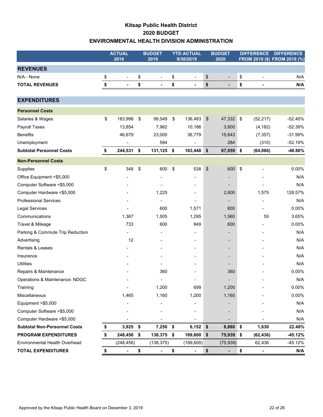### **Kitsap Public Health District 2020 BUDGET ENVIRONMENTAL HEALTH DIVISION ADMINISTRATION**

|                                     | <b>ACTUAL</b><br>2018 | <b>BUDGET</b><br>2019          |                              | <b>YTD ACTUAL</b><br>9/30/2019 | <b>BUDGET</b><br>2020 |    | <b>DIFFERENCE</b> | <b>DIFFERENCE</b><br>FROM 2019 (\$) FROM 2019 (%) |
|-------------------------------------|-----------------------|--------------------------------|------------------------------|--------------------------------|-----------------------|----|-------------------|---------------------------------------------------|
| <b>REVENUES</b>                     |                       |                                |                              |                                |                       |    |                   |                                                   |
| N/A - None                          | \$<br>$\blacksquare$  | \$<br>$\overline{\phantom{a}}$ | \$                           | $\frac{1}{2}$                  | \$                    | \$ |                   | N/A                                               |
| <b>TOTAL REVENUES</b>               | \$<br>$\blacksquare$  | \$<br>$\blacksquare$           | \$                           | $\blacksquare$                 | \$                    | \$ | $\blacksquare$    | N/A                                               |
|                                     |                       |                                |                              |                                |                       |    |                   |                                                   |
| <b>EXPENDITURES</b>                 |                       |                                |                              |                                |                       |    |                   |                                                   |
| <b>Personnel Costs</b>              |                       |                                |                              |                                |                       |    |                   |                                                   |
| Salaries & Wages                    | \$<br>183,998         | \$<br>99,549                   | \$                           | 136,483                        | \$<br>47,332 \$       |    | (52, 217)         | $-52.45%$                                         |
| Payroll Taxes                       | 13,854                | 7,982                          |                              | 10,186                         | 3,800                 |    | (4, 182)          | $-52.39%$                                         |
| <b>Benefits</b>                     | 46,679                | 23,000                         |                              | 36,779                         | 15,643                |    | (7, 357)          | $-31.99%$                                         |
| Unemployment                        |                       | 594                            |                              |                                | 284                   |    | (310)             | $-52.19%$                                         |
| <b>Subtotal Personnel Costs</b>     | \$<br>244,531 \$      | 131,125                        | \$                           | 183,448                        | \$<br>67,059          | \$ | (64,066)          | $-48.86%$                                         |
| <b>Non-Personnel Costs</b>          |                       |                                |                              |                                |                       |    |                   |                                                   |
| Supplies                            | \$<br>348             | \$<br>600                      | $\boldsymbol{\hat{\varphi}}$ | 538                            | \$<br>600             | \$ |                   | 0.00%                                             |
| Office Equipment <\$5,000           |                       |                                |                              |                                |                       |    |                   | N/A                                               |
| Computer Software <\$5,000          |                       |                                |                              |                                |                       |    |                   | N/A                                               |
| Computer Hardware <\$5,000          |                       | 1,225                          |                              |                                | 2,800                 |    | 1,575             | 128.57%                                           |
| <b>Professional Services</b>        |                       |                                |                              |                                |                       |    |                   | N/A                                               |
| <b>Legal Services</b>               |                       | 600                            |                              | 1,571                          | 600                   |    |                   | 0.00%                                             |
| Communications                      | 1,367                 | 1,505                          |                              | 1,295                          | 1,560                 |    | 55                | 3.65%                                             |
| Travel & Mileage                    | 733                   | 600                            |                              | 849                            | 600                   |    |                   | 0.00%                                             |
| Parking & Commute Trip Reduction    |                       |                                |                              |                                |                       |    |                   | N/A                                               |
| Advertising                         | 12                    |                                |                              |                                |                       |    |                   | N/A                                               |
| Rentals & Leases                    |                       |                                |                              |                                |                       |    |                   | N/A                                               |
| Insurance                           |                       |                                |                              |                                |                       |    |                   | N/A                                               |
| Utilities                           |                       |                                |                              |                                |                       |    |                   | N/A                                               |
| Repairs & Maintenance               |                       | 360                            |                              |                                | 360                   |    |                   | 0.00%                                             |
| Operations & Maintenance: NDGC      |                       |                                |                              |                                |                       |    |                   | N/A                                               |
| Training                            | $\blacksquare$        | 1,200                          |                              | 699                            | 1,200                 |    |                   | $0.00\%$                                          |
| Miscellaneous                       | 1,465                 | 1,160                          |                              | 1,200                          | 1,160                 |    |                   | 0.00%                                             |
| Equipment >\$5,000                  |                       |                                |                              |                                |                       |    |                   | N/A                                               |
| Computer Software > \$5,000         |                       |                                |                              |                                |                       |    |                   | N/A                                               |
| Computer Hardware > \$5,000         |                       |                                |                              |                                |                       |    |                   | N/A                                               |
| <b>Subtotal Non-Personnel Costs</b> | \$<br>$3,925$ \$      | 7,250 \$                       |                              | 6,152                          | \$<br>8,880           | \$ | 1,630             | 22.48%                                            |
| <b>PROGRAM EXPENDITURES</b>         | \$<br>248,456 \$      | 138,375 \$                     |                              | 189,600                        | \$<br>75,939          | \$ | (62, 436)         | -45.12%                                           |
| Environmental Health Overhead       | (248, 456)            | (138, 375)                     |                              | (189, 600)                     | (75, 939)             |    | 62,436            | -45.12%                                           |
| <b>TOTAL EXPENDITURES</b>           |                       | \$                             | \$                           |                                | \$                    | \$ |                   | N/A                                               |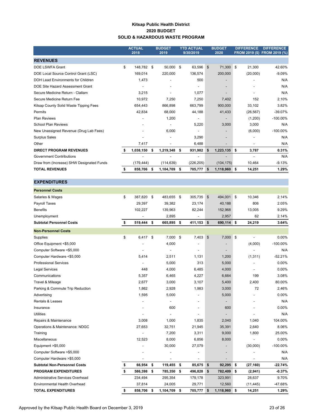#### **Kitsap Public Health District 2020 BUDGET SOLID & HAZARDOUS WASTE PROGRAM**

|                                           | <b>ACTUAL</b><br>2018 |    | <b>BUDGET</b><br>2019    |    | <b>YTD ACTUAL</b><br>9/30/2019 |    | <b>BUDGET</b><br>2020    |    | <b>DIFFERENCE</b><br><b>FROM 2019 (\$)</b> | <b>DIFFERENCE</b><br>FROM 2019 (%) |
|-------------------------------------------|-----------------------|----|--------------------------|----|--------------------------------|----|--------------------------|----|--------------------------------------------|------------------------------------|
| <b>REVENUES</b>                           |                       |    |                          |    |                                |    |                          |    |                                            |                                    |
| \$<br>DOE LSWFA Grant                     | 148,782               | \$ | 50,000                   | \$ | 63,596                         | \$ | 71,300                   | \$ | 21,300                                     | 42.60%                             |
| DOE Local Source Control Grant (LSC)      | 169,014               |    | 220,000                  |    | 136,574                        |    | 200,000                  |    | (20,000)                                   | $-9.09%$                           |
| DOH Lead Environments for Children        | 1,473                 |    | $\overline{\phantom{a}}$ |    | 500                            |    | $\overline{\phantom{a}}$ |    |                                            | N/A                                |
| DOE Site Hazard Assessment Grant          | ٠                     |    |                          |    | $\overline{\phantom{a}}$       |    | $\overline{\phantom{a}}$ |    |                                            | N/A                                |
| Secure Medicine Return - Clallam          | 3,215                 |    |                          |    | 1,077                          |    |                          |    |                                            | N/A                                |
| Secure Medicine Return Fee                | 10,972                |    | 7,250                    |    | 7,250                          |    | 7,402                    |    | 152                                        | 2.10%                              |
| Kitsap County Solid Waste Tipping Fees    | 654,443               |    | 866,898                  |    | 663,799                        |    | 900,000                  |    | 33,102                                     | 3.82%                              |
| Permits                                   | 42,834                |    | 68,000                   |    | 44,188                         |    | 41,433                   |    | (26, 567)                                  | $-39.07%$                          |
| <b>Plan Reviews</b>                       |                       |    | 1,200                    |    | $\overline{\phantom{0}}$       |    | $\overline{\phantom{a}}$ |    | (1,200)                                    | $-100.00\%$                        |
| <b>School Plan Reviews</b>                | ٠                     |    | $\overline{\phantom{a}}$ |    | 5,220                          |    | 3,000                    |    | 3,000                                      | N/A                                |
| New Unassigned Revenue (Drug Lab Fees)    |                       |    | 6,000                    |    |                                |    |                          |    | (6,000)                                    | $-100.00\%$                        |
| <b>Surplus Sales</b>                      |                       |    |                          |    | 3,290                          |    |                          |    |                                            | N/A                                |
| Other                                     | 7,417                 |    |                          |    | 6,488                          |    |                          |    |                                            | N/A                                |
| <b>DIRECT PROGRAM REVENUES</b>            | 1,038,150             | s  | 1,219,348                | s  | 931,982                        | \$ | 1,223,135                | \$ | 3,787                                      | 0.31%                              |
| <b>Government Contributions</b>           |                       |    |                          |    | $\overline{\phantom{0}}$       |    |                          |    |                                            | N/A                                |
| Draw from (Increase) SHW Designated Funds | (179, 444)            |    | (114, 639)               |    | (226, 205)                     |    | (104, 175)               |    | 10,464                                     | $-9.13%$                           |
| <b>TOTAL REVENUES</b>                     | 858,706               | 5  | 1,104,709                | s  | 705,777                        | \$ | 1,118,960 \$             |    | 14,251                                     | 1.29%                              |

**EXPENDITURES**

| <b>Personnel Costs</b>              |                  |                 |                          |            |            |            |                          |             |
|-------------------------------------|------------------|-----------------|--------------------------|------------|------------|------------|--------------------------|-------------|
| Salaries & Wages                    | \$<br>387,820    | \$<br>483,655   | \$<br>305,735            | \$         | 494,001    | \$         | 10,346                   | 2.14%       |
| Payroll Taxes                       | 29,397           | 39,382          | 23,174                   |            | 40,188     |            | 806                      | 2.05%       |
| <b>Benefits</b>                     | 102,227          | 139,963         | 82,244                   |            | 152,968    |            | 13,005                   | 9.29%       |
| Unemployment                        |                  | 2,895           |                          |            | 2,957      |            | 62                       | 2.14%       |
| <b>Subtotal Personnel Costs</b>     | \$<br>519,444 \$ | 665,895 \$      | 411,153                  | $\sqrt{3}$ | 690,114 \$ |            | 24,219                   | 3.64%       |
| <b>Non-Personnel Costs</b>          |                  |                 |                          |            |            |            |                          |             |
| Supplies                            | \$<br>6,417      | \$<br>7,000     | \$<br>7,403              | \$         | 7,000      | $\sqrt{3}$ | $\overline{\phantom{a}}$ | $0.00\%$    |
| Office Equipment <\$5,000           |                  | 4,000           |                          |            |            |            | (4,000)                  | -100.00%    |
| Computer Software <\$5,000          |                  |                 |                          |            | -          |            |                          | N/A         |
| Computer Hardware <\$5,000          | 5,414            | 2,511           | 1,131                    |            | 1,200      |            | (1, 311)                 | $-52.21%$   |
| <b>Professional Services</b>        |                  | 5,000           | 313                      |            | 5,000      |            |                          | 0.00%       |
| <b>Legal Services</b>               | 448              | 4,000           | 6,485                    |            | 4,000      |            |                          | 0.00%       |
| Communications                      | 5,357            | 6,465           | 4,227                    |            | 6,664      |            | 199                      | 3.08%       |
| Travel & Mileage                    | 2,677            | 3,000           | 3,107                    |            | 5,400      |            | 2,400                    | 80.00%      |
| Parking & Commute Trip Reduction    | 1,862            | 2,928           | 1,983                    |            | 3,000      |            | 72                       | 2.46%       |
| Advertising                         | 1,595            | 5,000           |                          |            | 5,000      |            |                          | 0.00%       |
| <b>Rentals &amp; Leases</b>         |                  |                 | $\overline{\phantom{a}}$ |            | -          |            |                          | N/A         |
| Insurance                           |                  | 600             |                          |            | 600        |            |                          | 0.00%       |
| <b>Utilities</b>                    |                  |                 |                          |            | -          |            |                          | N/A         |
| Repairs & Maintenance               | 3,008            | 1,000           | 1,835                    |            | 2,040      |            | 1,040                    | 104.00%     |
| Operations & Maintenance: NDGC      | 27,653           | 32,751          | 21,945                   |            | 35,391     |            | 2,640                    | 8.06%       |
| Training                            |                  | 7,200           | 3,311                    |            | 9,000      |            | 1,800                    | 25.00%      |
| Miscellaneous                       | 12,523           | 8,000           | 6,856                    |            | 8,000      |            | $\overline{\phantom{a}}$ | 0.00%       |
| Equipment >\$5,000                  |                  | 30,000          | 27,079                   |            |            |            | (30,000)                 | $-100.00\%$ |
| Computer Software >\$5,000          |                  |                 |                          |            | -          |            |                          | N/A         |
| Computer Hardware >\$5,000          |                  |                 |                          |            |            |            |                          | N/A         |
| <b>Subtotal Non-Personnel Costs</b> | \$<br>66,954     | \$<br>119,455   | \$<br>85,675             | \$         | 92,295     | \$         | (27, 160)                | $-22.74%$   |
| <b>PROGRAM EXPENDITURES</b>         | \$<br>586,398    | \$<br>785,350   | \$<br>496,828            | \$         | 782,409    | \$         | (2,941)                  | $-0.37%$    |
| Administrative Services Overhead    | 234,494          | 295,354         | 179,178                  |            | 323,991    |            | 28,637                   | 9.70%       |
| Environmental Health Overhead       | 37,814           | 24,005          | 29,771                   |            | 12,560     |            | (11, 445)                | -47.68%     |
| <b>TOTAL EXPENDITURES</b>           | \$<br>858,706    | \$<br>1,104,709 | \$<br>705,777            | \$         | 1,118,960  | \$         | 14,251                   | 1.29%       |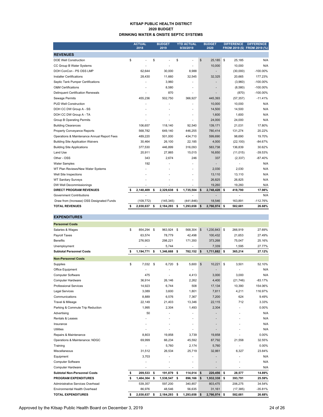#### **KITSAP PUBLIC HEALTH DISTRICT 2020 BUDGET DRINKING WATER & ONSITE SEPTIC SYSTEMS**

|                                             | <b>ACTUAL</b><br>2018 | <b>BUDGET</b><br>2019 | <b>YTD ACTUAL</b><br>9/30/2019 |    | <b>BUDGET</b><br>2020 |    | <b>DIFFERENCE</b> | <b>DIFFERENCE</b><br>FROM 2019 (\$) FROM 2019 (%) |
|---------------------------------------------|-----------------------|-----------------------|--------------------------------|----|-----------------------|----|-------------------|---------------------------------------------------|
| <b>REVENUES</b>                             |                       |                       |                                |    |                       |    |                   |                                                   |
| <b>DOE Well Construction</b>                | \$                    | \$                    | \$<br>÷.                       | \$ | 25,185 \$             |    | 25,185            | N/A                                               |
| CC Group B Water Systems                    |                       |                       |                                |    | 10,000                |    | 10,000            | N/A                                               |
| DOH ConCon - PS OSS LMP                     | 62,644                | 30,000                | 8,988                          |    |                       |    | (30,000)          | $-100.00\%$                                       |
| <b>Installer Certifications</b>             | 28,430                | 11,660                | 32,545                         |    | 32,325                |    | 20,665            | 177.23%                                           |
| Septic Tank Pumper Certifications           |                       | 3,960                 |                                |    |                       |    | (3,960)           | $-100.00\%$                                       |
| <b>O&amp;M Certifications</b>               |                       | 8,580                 |                                |    |                       |    | (8,580)           | $-100.00\%$                                       |
| Delinquent Certification Renewals           |                       | 870                   |                                |    |                       |    | (870)             | $-100.00\%$                                       |
| Sewage Permits                              | 455,236               | 502,750               | 366,927                        |    | 445,393               |    | (57, 357)         | $-11.41%$                                         |
| PUD Well Construction                       |                       |                       |                                |    | 10,000                |    | 10,000            | N/A                                               |
| DOH CC DW Group A - SS                      |                       |                       | ٠                              |    | 14,500                |    | 14,500            | N/A                                               |
| DOH CC DW Group A - TA                      |                       |                       | ٠                              |    | 1,600                 |    | 1,600             | N/A                                               |
| <b>Group B Operating Permits</b>            |                       |                       |                                |    | 24,000                |    | 24,000            | N/A                                               |
| <b>Building Clearances</b>                  | 106,657               | 118,140               | 92,540                         |    | 139,171               |    | 21,031            | 17.80%                                            |
| Property Conveyance Reports                 | 568.782               | 649.140               | 446.255                        |    | 780,414               |    | 131.274           | 20.22%                                            |
| Operations & Maintenance Annual Report Fees | 489,220               | 501,000               | 434,710                        |    | 599,690               |    | 98,690            | 19.70%                                            |
| <b>Building Site Application Waivers</b>    | 30,464                | 26,100                | 22,185                         |    | 4,000                 |    | (22, 100)         | $-84.67%$                                         |
| <b>Building Site Applications</b>           | 377,530               | 446,899               | 316,093                        |    | 583,738               |    | 136,839           | 30.62%                                            |
| Land Use                                    | 20,911                | 27,865                | 15,015                         |    | 16,850                |    | (11, 015)         | $-39.53%$                                         |
| Other - OSS                                 | 343                   | 2,674                 | 246                            |    | 337                   |    | (2, 337)          | $-87.40%$                                         |
| <b>Water Samples</b>                        | 192                   |                       |                                |    |                       |    |                   | N/A                                               |
| WT Plan Reviews/New Water Systems           |                       |                       |                                |    | 2,030                 |    | 2,030             | N/A                                               |
| Well Site Inspections                       |                       |                       |                                |    | 13,110                |    | 13,110            | N/A                                               |
| <b>WT Sanitary Surveys</b>                  |                       |                       |                                |    | 26,825                |    | 26,825            | N/A                                               |
| DW Well Decommissionings                    |                       |                       |                                |    | 19,260                |    | 19,260            | N/A                                               |
| DIRECT PROGRAM REVENUES                     | \$<br>2,140,409       | \$<br>2,329,638       | \$<br>1,735,504                | \$ | 2,748,428             | \$ | 418,790           | 17.98%                                            |
| <b>Government Contributions</b>             |                       |                       | ÷.                             |    |                       |    | ä,                | N/A                                               |
| Draw from (Increase) OSS Designated Funds   | (109, 772)            | (145, 345)            | (441, 846)                     |    | 18,546                |    | 163,891           | $-112.76%$                                        |
| <b>TOTAL REVENUES</b>                       | \$<br>2,030,637       | \$<br>2,184,293       | \$<br>1,293,658                | \$ | 2,766,974 \$          |    | 582,681           | 26.68%                                            |

| <b>EXPENDITURES</b>                 |                 |      |           |               |               |              |    |           |           |
|-------------------------------------|-----------------|------|-----------|---------------|---------------|--------------|----|-----------|-----------|
| <b>Personnel Costs</b>              |                 |      |           |               |               |              |    |           |           |
| Salaries & Wages                    | \$<br>854,294   | \$   | 963,924   | \$<br>568,304 | $\mathsf{\$}$ | 1,230,843    | \$ | 266,919   | 27.69%    |
| Payroll Taxes                       | 63,574          |      | 78,779    | 42,498        |               | 100,432      |    | 21,653    | 27.49%    |
| <b>Benefits</b>                     | 276,903         |      | 298,221   | 171,350       |               | 373,268      |    | 75,047    | 25.16%    |
| Unemployment                        |                 |      | 5,744     |               |               | 7,339        |    | 1,595     | 27.77%    |
| <b>Subtotal Personnel Costs</b>     | \$<br>1,194,771 | - \$ | 1,346,668 | \$<br>782,152 | \$            | 1,711,882 \$ |    | 365,214   | 27.12%    |
| <b>Non-Personnel Costs</b>          |                 |      |           |               |               |              |    |           |           |
| Supplies                            | \$<br>7,032 \$  |      | 6,720     | \$<br>5,600   | $\sqrt{2}$    | 10,221       | \$ | 3,501     | 52.10%    |
| Office Equipment                    |                 |      |           |               |               |              |    |           | N/A       |
| <b>Computer Software</b>            | 475             |      |           | 4,413         |               | 3,000        |    | 3,000     | N/A       |
| Computer Hardware                   | 36,914          |      | 26,146    | 2,262         |               | 4,400        |    | (21, 746) | $-83.17%$ |
| <b>Professional Services</b>        | 14,923          |      | 6,744     | 508           |               | 17,134       |    | 10,390    | 154.06%   |
| <b>Legal Services</b>               | 3,089           |      | 3,600     | 1,801         |               | 7,811        |    | 4,211     | 116.97%   |
| Communications                      | 8,889           |      | 6,576     | 7,367         |               | 7,200        |    | 624       | 9.49%     |
| Travel & Mileage                    | 22,149          |      | 21,403    | 13,346        |               | 22,115       |    | 712       | 3.33%     |
| Parking & Commute Trip Reduction    | 1,995           |      | 2,304     | 1,493         |               | 2,304        |    |           | 0.00%     |
| Advertising                         | 50              |      |           |               |               |              |    |           | N/A       |
| Rentals & Leases                    |                 |      |           |               |               |              |    |           | N/A       |
| Insurance                           |                 |      |           | ٠             |               | ٠            |    |           | N/A       |
| <b>Utilities</b>                    |                 |      |           |               |               |              |    |           | N/A       |
| Repairs & Maintenance               | 8.803           |      | 19.858    | 3.739         |               | 19.858       |    |           | 0.00%     |
| Operations & Maintenance: NDGC      | 69,999          |      | 66,234    | 45,592        |               | 87,792       |    | 21,558    | 32.55%    |
| Training                            |                 |      | 5.760     | 2,174         |               | 5,760        |    |           | 0.00%     |
| Miscellaneous                       | 31,512          |      | 26,534    | 25,719        |               | 32,861       |    | 6,327     | 23.84%    |
| Equipment                           | 3,703           |      |           |               |               |              |    |           | N/A       |
| Computer Software                   |                 |      | ٠         | ä,            |               |              |    | ÷         | N/A       |
| <b>Computer Hardware</b>            |                 |      |           |               |               |              |    |           | N/A       |
| <b>Subtotal Non-Personnel Costs</b> | \$<br>209,533   | \$   | 191,879   | \$<br>114,014 | \$            | 220,456      | \$ | 28,577    | 14.89%    |
| <b>PROGRAM EXPENDITURES</b>         | \$<br>1,404,304 | \$   | 1,538,547 | \$<br>896,166 | \$            | 1,932,338    | s  | 393,791   | 25.59%    |
| Administrative Services Overhead    | 539,357         |      | 597,200   | 340,857       |               | 803,475      |    | 206,275   | 34.54%    |
| Environmental Health Overhead       | 86.976          |      | 48.546    | 56.635        |               | 31.161       |    | (17, 385) | $-35.81%$ |

**TOTAL EXPENDITURES 2,030,637 \$ 2,184,293 \$ 1,293,658 \$ 2,766,974 \$ 582,681 \$ 26.68%**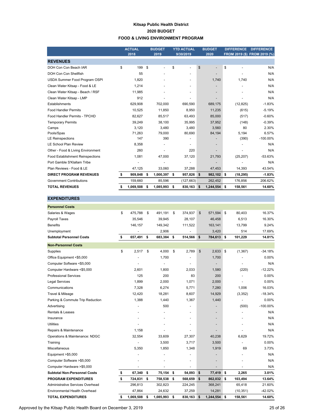#### **Kitsap Public Health District 2020 BUDGET FOOD & LIVING ENVIRONMENT PROGRAM**

|                                         | <b>ACTUAL</b><br>2018 | <b>BUDGET</b><br>2019 |    | <b>YTD ACTUAL</b><br>9/30/2019 | <b>BUDGET</b><br>2020              | <b>DIFFERENCE</b> | <b>DIFFERENCE</b><br>FROM 2019 (\$) FROM 2019 (%) |
|-----------------------------------------|-----------------------|-----------------------|----|--------------------------------|------------------------------------|-------------------|---------------------------------------------------|
| <b>REVENUES</b>                         |                       |                       |    |                                |                                    |                   |                                                   |
| DOH Con Con Beach IAR                   | \$<br>199             | \$<br>٠               | \$ |                                | \$<br>$\qquad \qquad \blacksquare$ | \$                | N/A                                               |
| DOH Con Con Shellfish                   | 55                    |                       |    | ٠                              | $\overline{\phantom{a}}$           |                   | N/A                                               |
| USDA Summer Food Program OSPI           | 1,820                 |                       |    |                                | 1,740                              | 1,740             | N/A                                               |
| Clean Water Kitsap - Food & LE          | 1,214                 |                       |    | ٠                              |                                    |                   | N/A                                               |
| Clean Water Kitsap - Beach / RSF        | 11,985                |                       |    |                                |                                    |                   | N/A                                               |
| Clean Water Kitsap - LMP                | 912                   |                       |    |                                |                                    |                   | N/A                                               |
| <b>Establishments</b>                   | 629.908               | 702,000               |    | 690,590                        | 689,175                            | (12, 825)         | $-1.83%$                                          |
| <b>Food Handler Permits</b>             | 10,525                | 11,850                |    | 8,950                          | 11,235                             | (615)             | $-5.19%$                                          |
| Food Handler Permits - TPCHD            | 82.627                | 85.517                |    | 63,493                         | 85,000                             | (517)             | $-0.60%$                                          |
| <b>Temporary Permits</b>                | 39,249                | 38,100                |    | 35,995                         | 37,952                             | (148)             | $-0.39%$                                          |
| Camps                                   | 3,120                 | 3,480                 |    | 3,480                          | 3,560                              | 80                | 2.30%                                             |
| Pools/Spas                              | 71,263                | 79,000                |    | 80,690                         | 84,194                             | 5,194             | 6.57%                                             |
| <b>LE Reinspections</b>                 | 147                   | 390                   |    |                                |                                    | (390)             | $-100.00\%$                                       |
| <b>LE School Plan Review</b>            | 8,358                 |                       |    |                                |                                    |                   | N/A                                               |
| Other - Food & Living Environment       | 260                   |                       |    | 220                            |                                    |                   | N/A                                               |
| <b>Food Establishment Reinspections</b> | 1,081                 | 47,000                |    | 37,120                         | 21,793                             | (25, 207)         | $-53.63%$                                         |
| Port Gamble S'Klallam Tribe             |                       |                       |    |                                |                                    |                   | N/A                                               |
| Plan Reviews - Food & LE                | 47,125                | 33,060                |    | 37,288                         | 47,453                             | 14,393            | 43.54%                                            |
| <b>DIRECT PROGRAM REVENUES</b>          | \$<br>909,848         | \$<br>1,000,397       | \$ | 957,826                        | \$<br>982,102 \$                   | (18, 295)         | $-1.83%$                                          |
| <b>Government Contributions</b>         | 159,660               | 85,596                |    | (127, 663)                     | 262,452                            | 176,856           | 206.62%                                           |
| <b>TOTAL REVENUES</b>                   | \$<br>1,069,508       | \$<br>1,085,993       | \$ | $830,163$ \$                   | 1,244,554                          | \$<br>158,561     | 14.60%                                            |

| <b>EXPENDITURES</b>                  |                  |                 |                  |                  |                |             |
|--------------------------------------|------------------|-----------------|------------------|------------------|----------------|-------------|
| <b>Personnel Costs</b>               |                  |                 |                  |                  |                |             |
| Salaries & Wages                     | \$<br>475,788    | \$<br>491,191   | \$<br>374,937    | \$<br>571,594    | \$<br>80,403   | 16.37%      |
| Payroll Taxes                        | 35,546           | 39,945          | 28,107           | 46,458           | 6,513          | 16.30%      |
| <b>Benefits</b>                      | 146,157          | 149,342         | 111,522          | 163,141          | 13,799         | 9.24%       |
| Unemployment                         |                  | 2,906           |                  | 3,420            | 514            | 17.69%      |
| <b>Subtotal Personnel Costs</b>      | \$<br>657,491    | \$<br>683,384   | \$<br>514,566 \$ | 784,613 \$       | 101,229        | 14.81%      |
| <b>Non-Personnel Costs</b>           |                  |                 |                  |                  |                |             |
| Supplies                             | \$<br>2,517      | \$<br>4,000     | \$<br>2,789      | \$<br>2,633      | \$<br>(1, 367) | -34.18%     |
| Office Equipment <\$5,000            |                  | 1,700           |                  | 1,700            |                | 0.00%       |
| Computer Software <\$5,000           |                  | $\overline{a}$  | $\overline{a}$   | $\overline{a}$   |                | N/A         |
| Computer Hardware <\$5,000           | 2,601            | 1,800           | 2,033            | 1,580            | (220)          | $-12.22%$   |
| <b>Professional Services</b>         | 125              | 200             | 83               | 200              |                | 0.00%       |
| <b>Legal Services</b>                | 1,899            | 2,000           | 1,071            | 2,000            |                | 0.00%       |
| Communications                       | 7,328            | 6,274           | 5,771            | 7,280            | 1,006          | 16.03%      |
| Travel & Mileage                     | 12,420           | 18,281          | 8,607            | 14,929           | (3, 352)       | $-18.34%$   |
| Parking & Commute Trip Reduction     | 1,388            | 1,440           | 1,367            | 1,440            |                | 0.00%       |
| Advertising                          |                  | 500             |                  |                  | (500)          | $-100.00\%$ |
| Rentals & Leases                     |                  |                 |                  |                  |                | N/A         |
| Insurance                            |                  |                 |                  |                  |                | N/A         |
| <b>Utilities</b>                     |                  |                 |                  |                  |                | N/A         |
| Repairs & Maintenance                | 1,158            |                 |                  |                  |                | N/A         |
| Operations & Maintenance: NDGC       | 32,554           | 33,609          | 27,307           | 40,238           | 6,629          | 19.72%      |
| Training                             |                  | 3,500           | 3,717            | 3,500            |                | 0.00%       |
| Miscellaneous                        | 5,350            | 1,850           | 1,348            | 1,919            | 69             | 3.73%       |
| Equipment >\$5,000                   |                  |                 |                  |                  |                | N/A         |
| Computer Software >\$5,000           |                  |                 |                  |                  |                | N/A         |
| Computer Hardware > \$5,000          |                  |                 |                  |                  |                | N/A         |
| <b>Subtotal Non-Personnel Costs</b>  | \$<br>67,340     | \$<br>75,154    | \$<br>54,093     | \$<br>77,419     | \$<br>2,265    | 3.01%       |
| <b>PROGRAM EXPENDITURES</b>          | \$<br>724,831 \$ | 758,538         | \$<br>568,659    | \$<br>862,032 \$ | 103,494        | 13.64%      |
| Administrative Services Overhead     | 296,813          | 302,823         | 224,245          | 368,241          | 65,418         | 21.60%      |
| <b>Environmental Health Overhead</b> | 47,864           | 24,632          | 37,259           | 14,281           | (10, 351)      | $-42.02%$   |
| <b>TOTAL EXPENDITURES</b>            | \$<br>1,069,508  | \$<br>1,085,993 | \$<br>830,163    | \$<br>1,244,554  | \$<br>158,561  | 14.60%      |